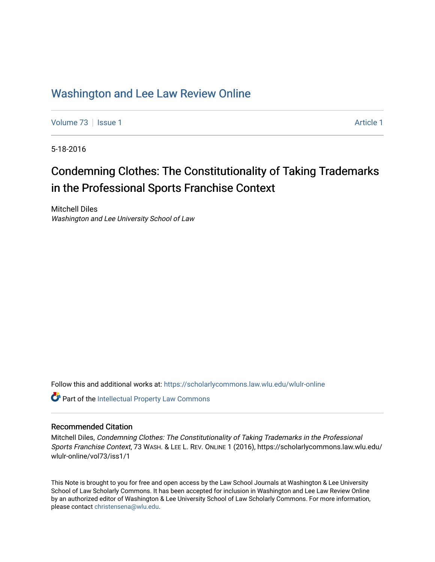# [Washington and Lee Law Review Online](https://scholarlycommons.law.wlu.edu/wlulr-online)

[Volume 73](https://scholarlycommons.law.wlu.edu/wlulr-online/vol73) | [Issue 1](https://scholarlycommons.law.wlu.edu/wlulr-online/vol73/iss1) [Article 1](https://scholarlycommons.law.wlu.edu/wlulr-online/vol73/iss1/1) Article 1 Article 1 Article 1 Article 1 Article 1 Article 1

5-18-2016

# Condemning Clothes: The Constitutionality of Taking Trademarks in the Professional Sports Franchise Context

Mitchell Diles Washington and Lee University School of Law

Follow this and additional works at: [https://scholarlycommons.law.wlu.edu/wlulr-online](https://scholarlycommons.law.wlu.edu/wlulr-online?utm_source=scholarlycommons.law.wlu.edu%2Fwlulr-online%2Fvol73%2Fiss1%2F1&utm_medium=PDF&utm_campaign=PDFCoverPages) 

Part of the [Intellectual Property Law Commons](http://network.bepress.com/hgg/discipline/896?utm_source=scholarlycommons.law.wlu.edu%2Fwlulr-online%2Fvol73%2Fiss1%2F1&utm_medium=PDF&utm_campaign=PDFCoverPages) 

# Recommended Citation

Mitchell Diles, Condemning Clothes: The Constitutionality of Taking Trademarks in the Professional Sports Franchise Context, 73 WASH. & LEE L. REV. ONLINE 1 (2016), https://scholarlycommons.law.wlu.edu/ wlulr-online/vol73/iss1/1

This Note is brought to you for free and open access by the Law School Journals at Washington & Lee University School of Law Scholarly Commons. It has been accepted for inclusion in Washington and Lee Law Review Online by an authorized editor of Washington & Lee University School of Law Scholarly Commons. For more information, please contact [christensena@wlu.edu.](mailto:christensena@wlu.edu)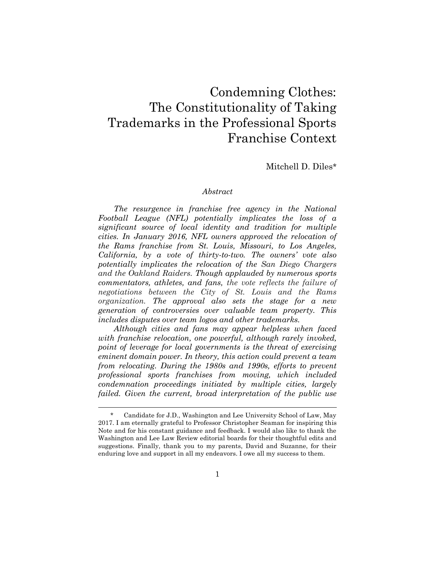# Condemning Clothes: The Constitutionality of Taking Trademarks in the Professional Sports Franchise Context

Mitchell D. Diles\*

# *Abstract*

*The resurgence in franchise free agency in the National Football League (NFL) potentially implicates the loss of a significant source of local identity and tradition for multiple cities. In January 2016, NFL owners approved the relocation of the Rams franchise from St. Louis, Missouri, to Los Angeles, California, by a vote of thirty-to-two. The owners' vote also potentially implicates the relocation of the San Diego Chargers and the Oakland Raiders. Though applauded by numerous sports commentators, athletes, and fans, the vote reflects the failure of negotiations between the City of St. Louis and the Rams organization. The approval also sets the stage for a new generation of controversies over valuable team property. This includes disputes over team logos and other trademarks.*

*Although cities and fans may appear helpless when faced with franchise relocation, one powerful, although rarely invoked, point of leverage for local governments is the threat of exercising eminent domain power. In theory, this action could prevent a team from relocating. During the 1980s and 1990s, efforts to prevent professional sports franchises from moving, which included condemnation proceedings initiated by multiple cities, largely failed. Given the current, broad interpretation of the public use* 

<sup>\*</sup> Candidate for J.D., Washington and Lee University School of Law, May 2017. I am eternally grateful to Professor Christopher Seaman for inspiring this Note and for his constant guidance and feedback. I would also like to thank the Washington and Lee Law Review editorial boards for their thoughtful edits and suggestions. Finally, thank you to my parents, David and Suzanne, for their enduring love and support in all my endeavors. I owe all my success to them.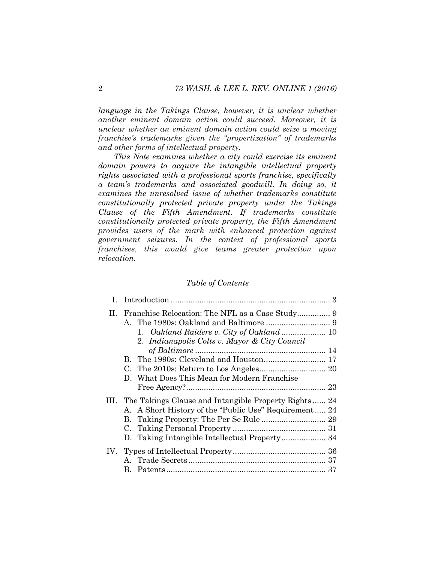*language in the Takings Clause, however, it is unclear whether another eminent domain action could succeed. Moreover, it is unclear whether an eminent domain action could seize a moving franchise's trademarks given the "propertization" of trademarks and other forms of intellectual property.*

*This Note examines whether a city could exercise its eminent domain powers to acquire the intangible intellectual property rights associated with a professional sports franchise, specifically a team's trademarks and associated goodwill. In doing so, it examines the unresolved issue of whether trademarks constitute constitutionally protected private property under the Takings Clause of the Fifth Amendment. If trademarks constitute constitutionally protected private property, the Fifth Amendment provides users of the mark with enhanced protection against government seizures. In the context of professional sports franchises, this would give teams greater protection upon relocation.*

# *Table of Contents*

|  | 2. Indianapolis Colts v. Mayor & City Council             |  |
|--|-----------------------------------------------------------|--|
|  |                                                           |  |
|  |                                                           |  |
|  |                                                           |  |
|  | D. What Does This Mean for Modern Franchise               |  |
|  |                                                           |  |
|  | III. The Takings Clause and Intangible Property Rights 24 |  |
|  | A. A Short History of the "Public Use" Requirement 24     |  |
|  |                                                           |  |
|  |                                                           |  |
|  |                                                           |  |
|  |                                                           |  |
|  |                                                           |  |
|  |                                                           |  |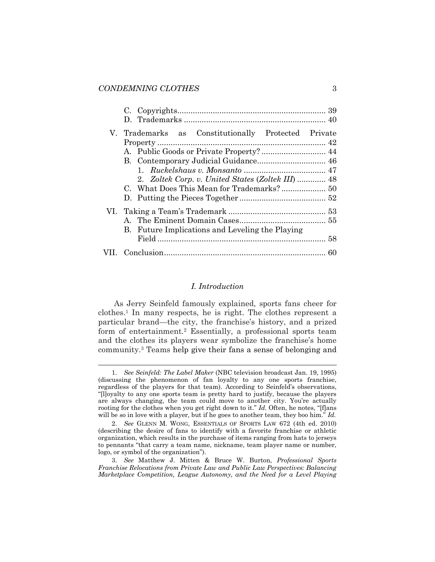<span id="page-3-2"></span>l

| V. Trademarks as Constitutionally Protected Private |  |
|-----------------------------------------------------|--|
| A. Public Goods or Private Property? 44             |  |
|                                                     |  |
| 2. Zoltek Corp. v. United States (Zoltek III) 48    |  |
|                                                     |  |
|                                                     |  |
| B. Future Implications and Leveling the Playing     |  |
|                                                     |  |
|                                                     |  |

# <span id="page-3-0"></span>*I. Introduction*

<span id="page-3-1"></span>As Jerry Seinfeld famously explained, sports fans cheer for clothes.<sup>1</sup> In many respects, he is right. The clothes represent a particular brand—the city, the franchise's history, and a prized form of entertainment.<sup>2</sup> Essentially, a professional sports team and the clothes its players wear symbolize the franchise's home community.<sup>3</sup> Teams help give their fans a sense of belonging and

<sup>1.</sup> *See Seinfeld: The Label Maker* (NBC television broadcast Jan. 19, 1995) (discussing the phenomenon of fan loyalty to any one sports franchise, regardless of the players for that team). According to Seinfeld's observations, "[l]oyalty to any one sports team is pretty hard to justify, because the players are always changing, the team could move to another city. You're actually rooting for the clothes when you get right down to it." *Id.* Often, he notes, "[f]ans will be so in love with a player, but if he goes to another team, they boo him." *Id.*

<sup>2.</sup> *See* GLENN M. WONG, ESSENTIALS OF SPORTS LAW 672 (4th ed. 2010) (describing the desire of fans to identify with a favorite franchise or athletic organization, which results in the purchase of items ranging from hats to jerseys to pennants "that carry a team name, nickname, team player name or number, logo, or symbol of the organization").

<sup>3.</sup> *See* Matthew J. Mitten & Bruce W. Burton, *Professional Sports Franchise Relocations from Private Law and Public Law Perspectives: Balancing Marketplace Competition, League Autonomy, and the Need for a Level Playing*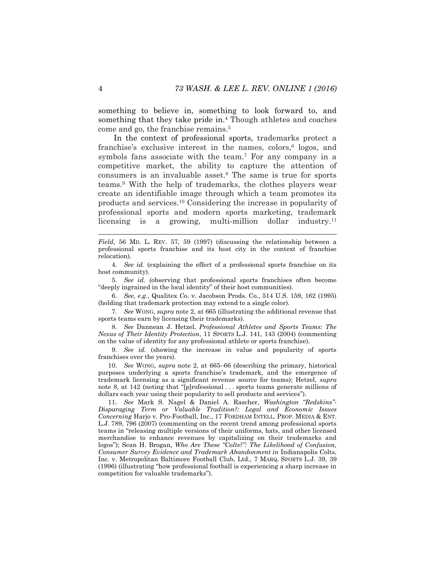something to believe in, something to look forward to, and something that they take pride in.<sup>4</sup> Though athletes and coaches come and go, the franchise remains.<sup>5</sup>

<span id="page-4-4"></span><span id="page-4-3"></span><span id="page-4-1"></span><span id="page-4-0"></span>In the context of professional sports, trademarks protect a franchise's exclusive interest in the names, colors,<sup>6</sup> logos, and symbols fans associate with the team. <sup>7</sup> For any company in a competitive market, the ability to capture the attention of consumers is an invaluable asset.<sup>8</sup> The same is true for sports teams.<sup>9</sup> With the help of trademarks, the clothes players wear create an identifiable image through which a team promotes its products and services.<sup>10</sup> Considering the increase in popularity of professional sports and modern sports marketing, trademark licensing is a growing, multi-million dollar industry.<sup>11</sup>

*Field*, 56 MD. L. REV. 57, 59 (1997) (discussing the relationship between a professional sports franchise and its host city in the context of franchise relocation).

4. *See id.* (explaining the effect of a professional sports franchise on its host community).

5. *See id.* (observing that professional sports franchises often become "deeply ingrained in the local identity" of their host communities).

6. *See, e.g.*, Qualitex Co. v. Jacobson Prods. Co., 514 U.S. 159, 162 (1995) (holding that trademark protection may extend to a single color).

7. *See* WONG, *supra* note [2,](#page-3-0) at 665 (illustrating the additional revenue that sports teams earn by licensing their trademarks).

8. *See* Dannean J. Hetzel, *Professional Athletes and Sports Teams: The Nexus of Their Identity Protection*, 11 SPORTS L.J. 141, 143 (2004) (commenting on the value of identity for any professional athlete or sports franchise).

9. *See id.* (showing the increase in value and popularity of sports franchises over the years).

10. *See* WONG, *supra* note [2,](#page-3-0) at 665–66 (describing the primary, historical purposes underlying a sports franchise's trademark, and the emergence of trademark licensing as a significant revenue source for teams); Hetzel, *supra* note [8,](#page-4-0) at 142 (noting that "[p]rofessional . . . sports teams generate millions of dollars each year using their popularity to sell products and services").

11. *See* Mark S. Nagel & Daniel A. Rascher, *Washington "Redskins"- Disparaging Term or Valuable Tradition?: Legal and Economic Issues Concerning* Harjo v. Pro-Football, Inc., 17 FORDHAM INTELL. PROP. MEDIA & ENT. L.J. 789, 796 (2007) (commenting on the recent trend among professional sports teams in "releasing multiple versions of their uniforms, hats, and other licensed merchandise to enhance revenues by capitalizing on their trademarks and logos"); Sean H. Brogan, *Who Are These "Colts?": The Likelihood of Confusion, Consumer Survey Evidence and Trademark Abandonment in* Indianapolis Colts, Inc. v. Metropolitan Baltimore Football Club, Ltd., 7 MARQ. SPORTS L.J. 39, 39 (1996) (illustrating "how professional football is experiencing a sharp increase in competition for valuable trademarks").

<span id="page-4-2"></span>l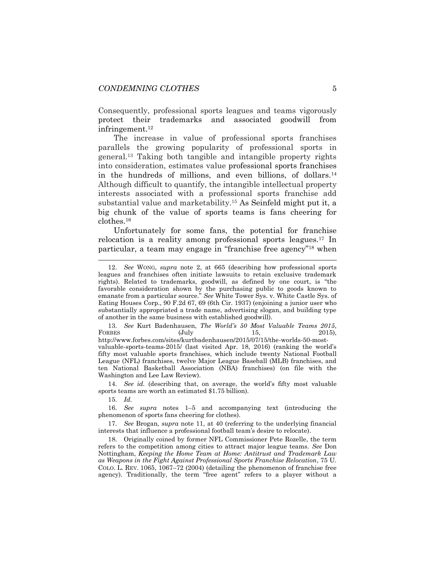Consequently, professional sports leagues and teams vigorously protect their trademarks and associated goodwill from infringement.<sup>12</sup>

<span id="page-5-2"></span><span id="page-5-1"></span>The increase in value of professional sports franchises parallels the growing popularity of professional sports in general.<sup>13</sup> Taking both tangible and intangible property rights into consideration, estimates value professional sports franchises in the hundreds of millions, and even billions, of dollars.<sup>14</sup> Although difficult to quantify, the intangible intellectual property interests associated with a professional sports franchise add substantial value and marketability.<sup>15</sup> As Seinfeld might put it, a big chunk of the value of sports teams is fans cheering for clothes.<sup>16</sup>

<span id="page-5-4"></span><span id="page-5-3"></span>Unfortunately for some fans, the potential for franchise relocation is a reality among professional sports leagues.<sup>17</sup> In particular, a team may engage in "franchise free agency"<sup>18</sup> when

13. *See* Kurt Badenhausen, *The World's 50 Most Valuable Teams 2015*, FORBES (July 15, 2015), http://www.forbes.com/sites/kurtbadenhausen/2015/07/15/the-worlds-50-mostvaluable-sports-teams-2015/ (last visited Apr. 18, 2016) (ranking the world's fifty most valuable sports franchises, which include twenty National Football League (NFL) franchises, twelve Major League Baseball (MLB) franchises, and ten National Basketball Association (NBA) franchises) (on file with the Washington and Lee Law Review).

14. *See id.* (describing that, on average, the world's fifty most valuable sports teams are worth an estimated \$1.75 billion).

15. *Id.*

<span id="page-5-0"></span>l

16. *See supra* notes [1](#page-3-1)–[5](#page-4-1) and accompanying text (introducing the phenomenon of sports fans cheering for clothes).

17. *See* Brogan, *supra* note [11,](#page-4-2) at 40 (referring to the underlying financial interests that influence a professional football team's desire to relocate).

18. Originally coined by former NFL Commissioner Pete Rozelle, the term refers to the competition among cities to attract major league teams. *See* Don Nottingham, *Keeping the Home Team at Home: Antitrust and Trademark Law as Weapons in the Fight Against Professional Sports Franchise Relocation*, 75 U. COLO. L. REV. 1065, 1067–72 (2004) (detailing the phenomenon of franchise free agency). Traditionally, the term "free agent" refers to a player without a

<sup>12.</sup> *See* WONG, *supra* note [2,](#page-3-0) at 665 (describing how professional sports leagues and franchises often initiate lawsuits to retain exclusive trademark rights). Related to trademarks, goodwill, as defined by one court, is "the favorable consideration shown by the purchasing public to goods known to emanate from a particular source." *See* White Tower Sys. v. White Castle Sys. of Eating Houses Corp., 90 F.2d 67, 69 (6th Cir. 1937) (enjoining a junior user who substantially appropriated a trade name, advertising slogan, and building type of another in the same business with established goodwill).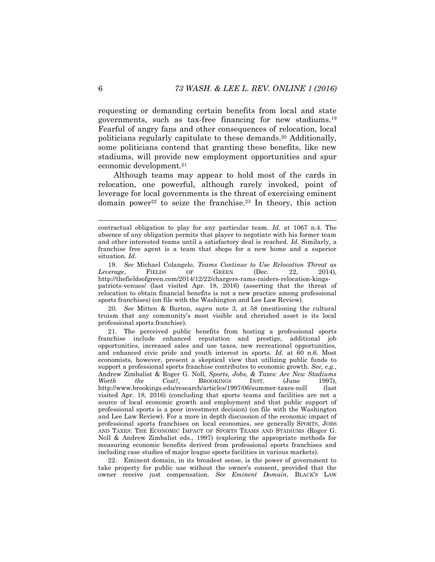requesting or demanding certain benefits from local and state governments, such as tax-free financing for new stadiums.<sup>19</sup> Fearful of angry fans and other consequences of relocation, local politicians regularly capitulate to these demands.<sup>20</sup> Additionally, some politicians contend that granting these benefits, like new stadiums, will provide new employment opportunities and spur economic development.<sup>21</sup>

Although teams may appear to hold most of the cards in relocation, one powerful, although rarely invoked, point of leverage for local governments is the threat of exercising eminent domain power<sup>22</sup> to seize the franchise.<sup>23</sup> In theory, this action

20. *See* Mitten & Burton, *supra* note [3,](#page-3-2) at 58 (mentioning the cultural truism that any community's most visible and cherished asset is its local professional sports franchise).

22. Eminent domain, in its broadest sense, is the power of government to take property for public use without the owner's consent, provided that the owner receive just compensation. *See Eminent Domain*, BLACK'S LAW

contractual obligation to play for any particular team. *Id.* at 1067 n.4. The absence of any obligation permits that player to negotiate with his former team and other interested teams until a satisfactory deal is reached. *Id.* Similarly, a franchise free agent is a team that shops for a new home and a superior situation. *Id.*

<sup>19.</sup> *See* Michael Colangelo, *Teams Continue to Use Relocation Threat as Leverage*, FIELDS OF GREEN (Dec. 22, 2014), http://thefieldsofgreen.com/2014/12/22/chargers-rams-raiders-relocation-kingspatriots-venues/ (last visited Apr. 18, 2016) (asserting that the threat of relocation to obtain financial benefits is not a new practice among professional sports franchises) (on file with the Washington and Lee Law Review).

<sup>21.</sup> The perceived public benefits from hosting a professional sports franchise include enhanced reputation and prestige, additional job opportunities, increased sales and use taxes, new recreational opportunities, and enhanced civic pride and youth interest in sports. *Id.* at 60 n.6. Most economists, however, present a skeptical view that utilizing public funds to support a professional sports franchise contributes to economic growth. *See, e.g.*, Andrew Zimbalist & Roger G. Noll, *Sports, Jobs, & Taxes: Are New Stadiums Worth the Cost?*, BROOKINGS INST. (June 1997), http://www.brookings.edu/research/articles/1997/06/summer-taxes-noll (last visited Apr. 18, 2016) (concluding that sports teams and facilities are not a source of local economic growth and employment and that public support of professional sports is a poor investment decision) (on file with the Washington and Lee Law Review). For a more in depth discussion of the economic impact of professional sports franchises on local economies, see generally SPORTS, JOBS AND TAXES: THE ECONOMIC IMPACT OF SPORTS TEAMS AND STADIUMS (Roger G. Noll & Andrew Zimbalist eds., 1997) (exploring the appropriate methods for measuring economic benefits derived from professional sports franchises and including case studies of major league sports facilities in various markets).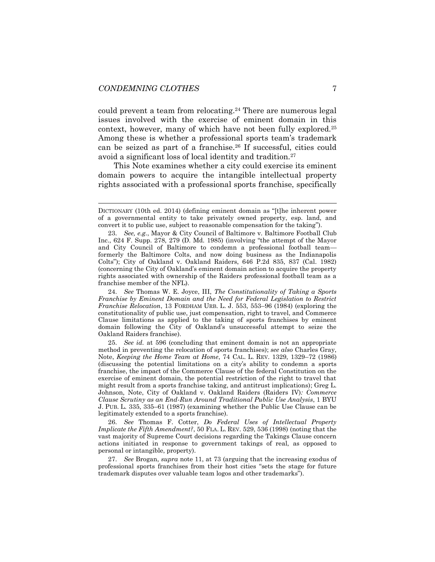<span id="page-7-0"></span>could prevent a team from relocating.<sup>24</sup> There are numerous legal issues involved with the exercise of eminent domain in this context, however, many of which have not been fully explored.<sup>25</sup> Among these is whether a professional sports team's trademark can be seized as part of a franchise.<sup>26</sup> If successful, cities could avoid a significant loss of local identity and tradition.<sup>27</sup>

<span id="page-7-1"></span>This Note examines whether a city could exercise its eminent domain powers to acquire the intangible intellectual property rights associated with a professional sports franchise, specifically

24. *See* Thomas W. E. Joyce, III, *The Constitutionality of Taking a Sports Franchise by Eminent Domain and the Need for Federal Legislation to Restrict Franchise Relocation*, 13 FORDHAM URB. L. J. 553, 553–96 (1984) (exploring the constitutionality of public use, just compensation, right to travel, and Commerce Clause limitations as applied to the taking of sports franchises by eminent domain following the City of Oakland's unsuccessful attempt to seize the Oakland Raiders franchise).

25. *See id.* at 596 (concluding that eminent domain is not an appropriate method in preventing the relocation of sports franchises); *see also* Charles Gray, Note, *Keeping the Home Team at Home*, 74 CAL. L. REV. 1329, 1329–72 (1986) (discussing the potential limitations on a city's ability to condemn a sports franchise, the impact of the Commerce Clause of the federal Constitution on the exercise of eminent domain, the potential restriction of the right to travel that might result from a sports franchise taking, and antitrust implications); Greg L. Johnson, Note, City of Oakland v. Oakland Raiders (Raiders IV)*: Commerce Clause Scrutiny as an End-Run Around Traditional Public Use Analysis*, 1 BYU J. PUB. L. 335, 335–61 (1987) (examining whether the Public Use Clause can be legitimately extended to a sports franchise).

26. *See* Thomas F. Cotter, *Do Federal Uses of Intellectual Property Implicate the Fifth Amendment?*, 50 FLA. L. REV. 529, 536 (1998) (noting that the vast majority of Supreme Court decisions regarding the Takings Clause concern actions initiated in response to government takings of real, as opposed to personal or intangible, property).

27. *See* Brogan, *supra* note [11,](#page-4-2) at 73 (arguing that the increasing exodus of professional sports franchises from their host cities "sets the stage for future trademark disputes over valuable team logos and other trademarks").

DICTIONARY (10th ed. 2014) (defining eminent domain as "[t]he inherent power of a governmental entity to take privately owned property, esp. land, and convert it to public use, subject to reasonable compensation for the taking").

<sup>23.</sup> *See, e.g.*, Mayor & City Council of Baltimore v. Baltimore Football Club Inc., 624 F. Supp. 278, 279 (D. Md. 1985) (involving "the attempt of the Mayor and City Council of Baltimore to condemn a professional football team formerly the Baltimore Colts, and now doing business as the Indianapolis Colts"); City of Oakland v. Oakland Raiders, 646 P.2d 835, 837 (Cal. 1982) (concerning the City of Oakland's eminent domain action to acquire the property rights associated with ownership of the Raiders professional football team as a franchise member of the NFL).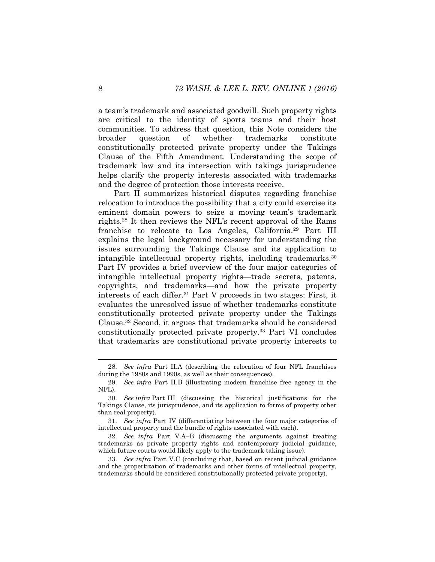a team's trademark and associated goodwill. Such property rights are critical to the identity of sports teams and their host communities. To address that question, this Note considers the broader question of whether trademarks constitute constitutionally protected private property under the Takings Clause of the Fifth Amendment. Understanding the scope of trademark law and its intersection with takings jurisprudence helps clarify the property interests associated with trademarks and the degree of protection those interests receive.

Part II summarizes historical disputes regarding franchise relocation to introduce the possibility that a city could exercise its eminent domain powers to seize a moving team's trademark rights.<sup>28</sup> It then reviews the NFL's recent approval of the Rams franchise to relocate to Los Angeles, California.<sup>29</sup> Part III explains the legal background necessary for understanding the issues surrounding the Takings Clause and its application to intangible intellectual property rights, including trademarks.<sup>30</sup> Part IV provides a brief overview of the four major categories of intangible intellectual property rights—trade secrets, patents, copyrights, and trademarks—and how the private property interests of each differ.<sup>31</sup> Part V proceeds in two stages: First, it evaluates the unresolved issue of whether trademarks constitute constitutionally protected private property under the Takings Clause.<sup>32</sup> Second, it argues that trademarks should be considered constitutionally protected private property.<sup>33</sup> Part VI concludes that trademarks are constitutional private property interests to

<sup>28.</sup> *See infra* Part II.A (describing the relocation of four NFL franchises during the 1980s and 1990s, as well as their consequences).

<sup>29.</sup> *See infra* Part II.B (illustrating modern franchise free agency in the NFL).

<sup>30.</sup> *See infra* Part III (discussing the historical justifications for the Takings Clause, its jurisprudence, and its application to forms of property other than real property).

<sup>31.</sup> *See infra* Part IV (differentiating between the four major categories of intellectual property and the bundle of rights associated with each).

<sup>32.</sup> *See infra* Part V.A–B (discussing the arguments against treating trademarks as private property rights and contemporary judicial guidance, which future courts would likely apply to the trademark taking issue).

<sup>33.</sup> *See infra* Part V.C (concluding that, based on recent judicial guidance and the propertization of trademarks and other forms of intellectual property, trademarks should be considered constitutionally protected private property).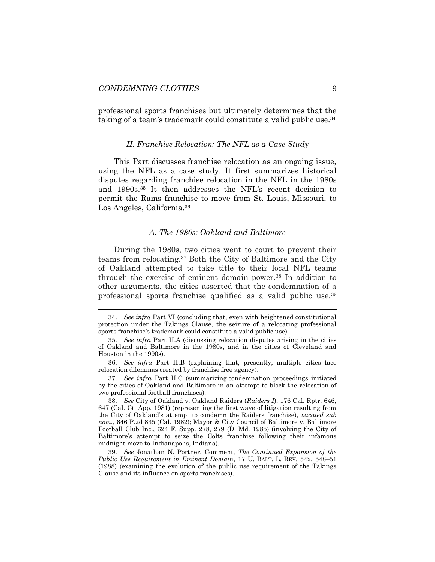professional sports franchises but ultimately determines that the taking of a team's trademark could constitute a valid public use.<sup>34</sup>

#### *II. Franchise Relocation: The NFL as a Case Study*

This Part discusses franchise relocation as an ongoing issue, using the NFL as a case study. It first summarizes historical disputes regarding franchise relocation in the NFL in the 1980s and 1990s.<sup>35</sup> It then addresses the NFL's recent decision to permit the Rams franchise to move from St. Louis, Missouri, to Los Angeles, California.<sup>36</sup>

#### <span id="page-9-0"></span>*A. The 1980s: Oakland and Baltimore*

During the 1980s, two cities went to court to prevent their teams from relocating.<sup>37</sup> Both the City of Baltimore and the City of Oakland attempted to take title to their local NFL teams through the exercise of eminent domain power.<sup>38</sup> In addition to other arguments, the cities asserted that the condemnation of a professional sports franchise qualified as a valid public use.<sup>39</sup>

<sup>34.</sup> *See infra* Part VI (concluding that, even with heightened constitutional protection under the Takings Clause, the seizure of a relocating professional sports franchise's trademark could constitute a valid public use).

<sup>35.</sup> *See infra* Part II.A (discussing relocation disputes arising in the cities of Oakland and Baltimore in the 1980s, and in the cities of Cleveland and Houston in the 1990s).

<sup>36.</sup> *See infra* Part II.B (explaining that, presently, multiple cities face relocation dilemmas created by franchise free agency).

<sup>37.</sup> *See infra* Part II.C (summarizing condemnation proceedings initiated by the cities of Oakland and Baltimore in an attempt to block the relocation of two professional football franchises).

<sup>38.</sup> *See* City of Oakland v. Oakland Raiders (*Raiders I*), 176 Cal. Rptr. 646, 647 (Cal. Ct. App. 1981) (representing the first wave of litigation resulting from the City of Oakland's attempt to condemn the Raiders franchise), *vacated sub nom.*, 646 P.2d 835 (Cal. 1982); Mayor & City Council of Baltimore v. Baltimore Football Club Inc., 624 F. Supp. 278, 279 (D. Md. 1985) (involving the City of Baltimore's attempt to seize the Colts franchise following their infamous midnight move to Indianapolis, Indiana).

<sup>39.</sup> *See* Jonathan N. Portner, Comment, *The Continued Expansion of the Public Use Requirement in Eminent Domain*, 17 U. BALT. L. REV. 542, 548–51 (1988) (examining the evolution of the public use requirement of the Takings Clause and its influence on sports franchises).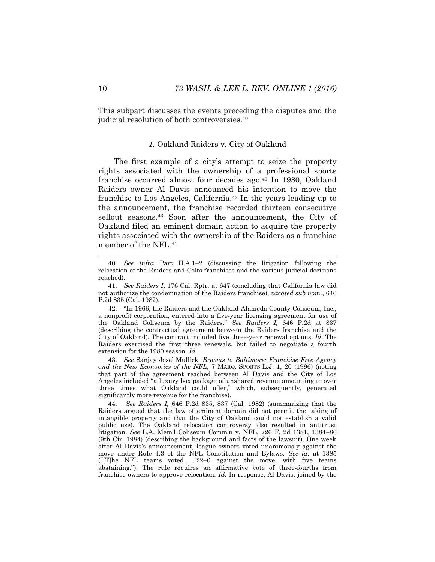This subpart discusses the events preceding the disputes and the judicial resolution of both controversies.<sup>40</sup>

# *1.* Oakland Raiders v. City of Oakland

The first example of a city's attempt to seize the property rights associated with the ownership of a professional sports franchise occurred almost four decades ago.<sup>41</sup> In 1980, Oakland Raiders owner Al Davis announced his intention to move the franchise to Los Angeles, California.<sup>42</sup> In the years leading up to the announcement, the franchise recorded thirteen consecutive sellout seasons.<sup>43</sup> Soon after the announcement, the City of Oakland filed an eminent domain action to acquire the property rights associated with the ownership of the Raiders as a franchise member of the NFL.<sup>44</sup>

42. "In 1966, the Raiders and the Oakland-Alameda County Coliseum, Inc., a nonprofit corporation, entered into a five-year licensing agreement for use of the Oakland Coliseum by the Raiders." *See Raiders I,* 646 P.2d at 837 (describing the contractual agreement between the Raiders franchise and the City of Oakland). The contract included five three-year renewal options. *Id.* The Raiders exercised the first three renewals, but failed to negotiate a fourth extension for the 1980 season. *Id.*

43. *See* Sanjay Jose' Mullick, *Browns to Baltimore: Franchise Free Agency and the New Economics of the NFL*, 7 MARQ. SPORTS L.J. 1, 20 (1996) (noting that part of the agreement reached between Al Davis and the City of Los Angeles included "a luxury box package of unshared revenue amounting to over three times what Oakland could offer," which, subsequently, generated significantly more revenue for the franchise).

44. *See Raiders I,* 646 P.2d 835, 837 (Cal. 1982) (summarizing that the Raiders argued that the law of eminent domain did not permit the taking of intangible property and that the City of Oakland could not establish a valid public use). The Oakland relocation controversy also resulted in antitrust litigation. *See* L.A. Mem'l Coliseum Comm'n v. NFL, 726 F. 2d 1381, 1384–86 (9th Cir. 1984) (describing the background and facts of the lawsuit). One week after Al Davis's announcement, league owners voted unanimously against the move under Rule 4.3 of the NFL Constitution and Bylaws. *See id.* at 1385 ("The NFL teams voted  $\ldots$  22–0 against the move, with five teams abstaining."). The rule requires an affirmative vote of three-fourths from franchise owners to approve relocation. *Id*. In response, Al Davis, joined by the

<span id="page-10-1"></span><span id="page-10-0"></span>l

<sup>40.</sup> *See infra* Part II.A.1–2 (discussing the litigation following the relocation of the Raiders and Colts franchises and the various judicial decisions reached).

<sup>41.</sup> *See Raiders I*, 176 Cal. Rptr. at 647 (concluding that California law did not authorize the condemnation of the Raiders franchise), *vacated sub nom.*, 646 P.2d 835 (Cal. 1982).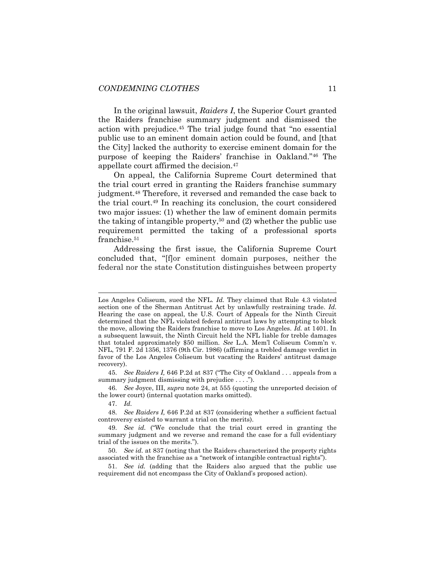In the original lawsuit, *Raiders I*, the Superior Court granted the Raiders franchise summary judgment and dismissed the action with prejudice.<sup>45</sup> The trial judge found that "no essential public use to an eminent domain action could be found, and [that the City] lacked the authority to exercise eminent domain for the purpose of keeping the Raiders' franchise in Oakland."<sup>46</sup> The appellate court affirmed the decision.<sup>47</sup>

On appeal, the California Supreme Court determined that the trial court erred in granting the Raiders franchise summary judgment.<sup>48</sup> Therefore, it reversed and remanded the case back to the trial court.<sup>49</sup> In reaching its conclusion, the court considered two major issues: (1) whether the law of eminent domain permits the taking of intangible property,<sup>50</sup> and  $(2)$  whether the public use requirement permitted the taking of a professional sports franchise.<sup>51</sup>

Addressing the first issue, the California Supreme Court concluded that, "[f]or eminent domain purposes, neither the federal nor the state Constitution distinguishes between property

45. *See Raiders I,* 646 P.2d at 837 ("The City of Oakland . . . appeals from a summary judgment dismissing with prejudice . . . .").

46. *See* Joyce, III, *supra* note [24,](#page-7-0) at 555 (quoting the unreported decision of the lower court) (internal quotation marks omitted).

Los Angeles Coliseum, sued the NFL. *Id.* They claimed that Rule 4.3 violated section one of the Sherman Antitrust Act by unlawfully restraining trade. *Id.* Hearing the case on appeal, the U.S. Court of Appeals for the Ninth Circuit determined that the NFL violated federal antitrust laws by attempting to block the move, allowing the Raiders franchise to move to Los Angeles. *Id.* at 1401. In a subsequent lawsuit, the Ninth Circuit held the NFL liable for treble damages that totaled approximately \$50 million. *See* L.A. Mem'l Coliseum Comm'n v. NFL, 791 F. 2d 1356, 1376 (9th Cir. 1986) (affirming a trebled damage verdict in favor of the Los Angeles Coliseum but vacating the Raiders' antitrust damage recovery).

<sup>47.</sup> *Id.*

<sup>48.</sup> *See Raiders I,* 646 P.2d at 837 (considering whether a sufficient factual controversy existed to warrant a trial on the merits).

<sup>49.</sup> *See id.* ("We conclude that the trial court erred in granting the summary judgment and we reverse and remand the case for a full evidentiary trial of the issues on the merits.").

<sup>50.</sup> *See id.* at 837 (noting that the Raiders characterized the property rights associated with the franchise as a "network of intangible contractual rights").

<sup>51.</sup> *See id.* (adding that the Raiders also argued that the public use requirement did not encompass the City of Oakland's proposed action).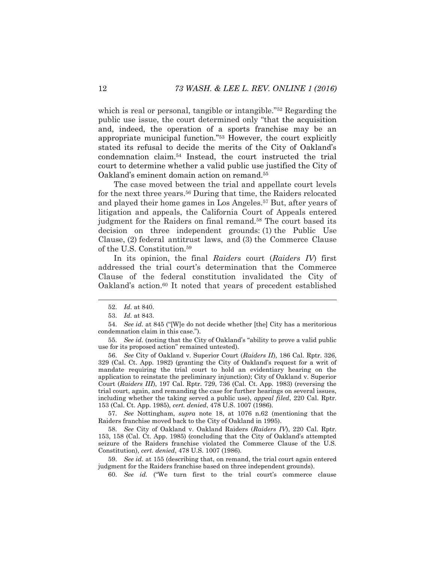which is real or personal, tangible or intangible."<sup>52</sup> Regarding the public use issue, the court determined only "that the acquisition and, indeed, the operation of a sports franchise may be an appropriate municipal function."<sup>53</sup> However, the court explicitly stated its refusal to decide the merits of the City of Oakland's condemnation claim.<sup>54</sup> Instead, the court instructed the trial court to determine whether a valid public use justified the City of Oakland's eminent domain action on remand.<sup>55</sup>

The case moved between the trial and appellate court levels for the next three years.<sup>56</sup> During that time, the Raiders relocated and played their home games in Los Angeles.<sup>57</sup> But, after years of litigation and appeals, the California Court of Appeals entered judgment for the Raiders on final remand.<sup>58</sup> The court based its decision on three independent grounds: (1) the Public Use Clause, (2) federal antitrust laws, and (3) the Commerce Clause of the U.S. Constitution.<sup>59</sup>

In its opinion, the final *Raiders* court (*Raiders IV*) first addressed the trial court's determination that the Commerce Clause of the federal constitution invalidated the City of Oakland's action.<sup>60</sup> It noted that years of precedent established

57. *See* Nottingham, *supra* note [18,](#page-5-0) at 1076 n.62 (mentioning that the Raiders franchise moved back to the City of Oakland in 1995).

58. *See* City of Oakland v. Oakland Raiders (*Raiders IV*), 220 Cal. Rptr. 153, 158 (Cal. Ct. App. 1985) (concluding that the City of Oakland's attempted seizure of the Raiders franchise violated the Commerce Clause of the U.S. Constitution), *cert. denied*, 478 U.S. 1007 (1986).

59. *See id.* at 155 (describing that, on remand, the trial court again entered judgment for the Raiders franchise based on three independent grounds).

60. *See id.* ("We turn first to the trial court's commerce clause

<span id="page-12-0"></span><sup>52.</sup> *Id.* at 840.

<sup>53.</sup> *Id.* at 843.

<sup>54.</sup> *See id.* at 845 ("[W]e do not decide whether [the] City has a meritorious condemnation claim in this case.").

<sup>55.</sup> *See id.* (noting that the City of Oakland's "ability to prove a valid public use for its proposed action" remained untested).

<sup>56.</sup> *See* City of Oakland v. Superior Court (*Raiders II*), 186 Cal. Rptr. 326, 329 (Cal. Ct. App. 1982) (granting the City of Oakland's request for a writ of mandate requiring the trial court to hold an evidentiary hearing on the application to reinstate the preliminary injunction); City of Oakland v. Superior Court (*Raiders III*), 197 Cal. Rptr. 729, 736 (Cal. Ct. App. 1983) (reversing the trial court, again, and remanding the case for further hearings on several issues, including whether the taking served a public use), *appeal filed*, 220 Cal. Rptr. 153 (Cal. Ct. App. 1985), *cert. denied*, 478 U.S. 1007 (1986).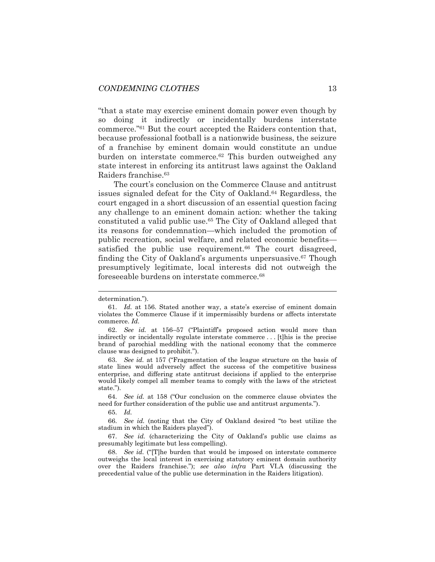"that a state may exercise eminent domain power even though by so doing it indirectly or incidentally burdens interstate commerce."<sup>61</sup> But the court accepted the Raiders contention that, because professional football is a nationwide business, the seizure of a franchise by eminent domain would constitute an undue burden on interstate commerce.<sup>62</sup> This burden outweighed any state interest in enforcing its antitrust laws against the Oakland Raiders franchise.<sup>63</sup>

<span id="page-13-0"></span>The court's conclusion on the Commerce Clause and antitrust issues signaled defeat for the City of Oakland.<sup>64</sup> Regardless, the court engaged in a short discussion of an essential question facing any challenge to an eminent domain action: whether the taking constituted a valid public use.<sup>65</sup> The City of Oakland alleged that its reasons for condemnation—which included the promotion of public recreation, social welfare, and related economic benefits satisfied the public use requirement.<sup>66</sup> The court disagreed, finding the City of Oakland's arguments unpersuasive.<sup>67</sup> Though presumptively legitimate, local interests did not outweigh the foreseeable burdens on interstate commerce.<sup>68</sup>

64. *See id.* at 158 ("Our conclusion on the commerce clause obviates the need for further consideration of the public use and antitrust arguments.").

65. *Id.*

66. *See id.* (noting that the City of Oakland desired "to best utilize the stadium in which the Raiders played").

67. *See id.* (characterizing the City of Oakland's public use claims as presumably legitimate but less compelling).

68. *See id.* ("[T]he burden that would be imposed on interstate commerce outweighs the local interest in exercising statutory eminent domain authority over the Raiders franchise."); *see also infra* Part VI.A (discussing the precedential value of the public use determination in the Raiders litigation).

determination.").

<sup>61.</sup> *Id.* at 156. Stated another way, a state's exercise of eminent domain violates the Commerce Clause if it impermissibly burdens or affects interstate commerce. *Id.*

<sup>62.</sup> *See id.* at 156–57 ("Plaintiff's proposed action would more than indirectly or incidentally regulate interstate commerce . . . [t]his is the precise brand of parochial meddling with the national economy that the commerce clause was designed to prohibit.").

<sup>63.</sup> *See id.* at 157 ("Fragmentation of the league structure on the basis of state lines would adversely affect the success of the competitive business enterprise, and differing state antitrust decisions if applied to the enterprise would likely compel all member teams to comply with the laws of the strictest state.").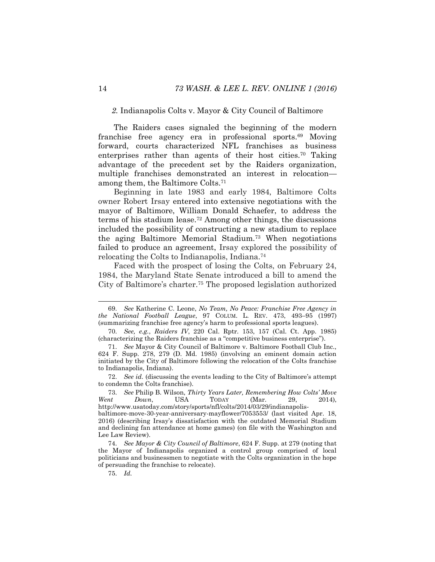# <span id="page-14-0"></span>*2.* Indianapolis Colts v. Mayor & City Council of Baltimore

The Raiders cases signaled the beginning of the modern franchise free agency era in professional sports.<sup>69</sup> Moving forward, courts characterized NFL franchises as business enterprises rather than agents of their host cities.<sup>70</sup> Taking advantage of the precedent set by the Raiders organization, multiple franchises demonstrated an interest in relocation among them, the Baltimore Colts.<sup>71</sup>

Beginning in late 1983 and early 1984, Baltimore Colts owner Robert Irsay entered into extensive negotiations with the mayor of Baltimore, William Donald Schaefer, to address the terms of his stadium lease.<sup>72</sup> Among other things, the discussions included the possibility of constructing a new stadium to replace the aging Baltimore Memorial Stadium.<sup>73</sup> When negotiations failed to produce an agreement, Irsay explored the possibility of relocating the Colts to Indianapolis, Indiana.<sup>74</sup>

Faced with the prospect of losing the Colts, on February 24, 1984, the Maryland State Senate introduced a bill to amend the City of Baltimore's charter.<sup>75</sup> The proposed legislation authorized

75. *Id.*

<sup>69.</sup> *See* Katherine C. Leone, *No Team, No Peace: Franchise Free Agency in the National Football League*, 97 COLUM. L. REV. 473, 493–95 (1997) (summarizing franchise free agency's harm to professional sports leagues).

<sup>70.</sup> *See, e.g.*, *Raiders IV*, 220 Cal. Rptr. 153, 157 (Cal. Ct. App. 1985) (characterizing the Raiders franchise as a "competitive business enterprise").

<sup>71.</sup> *See* Mayor & City Council of Baltimore v. Baltimore Football Club Inc., 624 F. Supp. 278, 279 (D. Md. 1985) (involving an eminent domain action initiated by the City of Baltimore following the relocation of the Colts franchise to Indianapolis, Indiana).

<sup>72.</sup> *See id.* (discussing the events leading to the City of Baltimore's attempt to condemn the Colts franchise).

<sup>73.</sup> *See* Philip B. Wilson, *Thirty Years Later, Remembering How Colts' Move Went Down*, USA TODAY (Mar. 29, 2014), http://www.usatoday.com/story/sports/nfl/colts/2014/03/29/indianapolisbaltimore-move-30-year-anniversary-mayflower/7053553/ (last visited Apr. 18, 2016) (describing Irsay's dissatisfaction with the outdated Memorial Stadium and declining fan attendance at home games) (on file with the Washington and Lee Law Review).

<sup>74.</sup> *See Mayor & City Council of Baltimore*, 624 F. Supp. at 279 (noting that the Mayor of Indianapolis organized a control group comprised of local politicians and businessmen to negotiate with the Colts organization in the hope of persuading the franchise to relocate).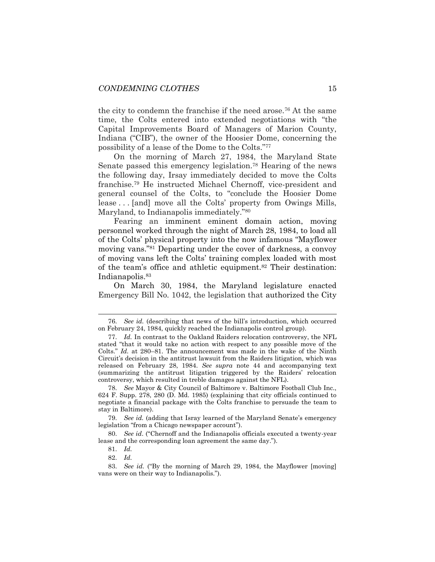the city to condemn the franchise if the need arose.<sup>76</sup> At the same time, the Colts entered into extended negotiations with "the Capital Improvements Board of Managers of Marion County, Indiana ("CIB"), the owner of the Hoosier Dome, concerning the possibility of a lease of the Dome to the Colts."<sup>77</sup>

On the morning of March 27, 1984, the Maryland State Senate passed this emergency legislation.<sup>78</sup> Hearing of the news the following day, Irsay immediately decided to move the Colts franchise.<sup>79</sup> He instructed Michael Chernoff, vice-president and general counsel of the Colts, to "conclude the Hoosier Dome lease . . . [and] move all the Colts' property from Owings Mills, Maryland, to Indianapolis immediately."<sup>80</sup>

Fearing an imminent eminent domain action, moving personnel worked through the night of March 28, 1984, to load all of the Colts' physical property into the now infamous "Mayflower moving vans."<sup>81</sup> Departing under the cover of darkness, a convoy of moving vans left the Colts' training complex loaded with most of the team's office and athletic equipment.<sup>82</sup> Their destination: Indianapolis.<sup>83</sup>

On March 30, 1984, the Maryland legislature enacted Emergency Bill No. 1042, the legislation that authorized the City

79. *See id.* (adding that Isray learned of the Maryland Senate's emergency legislation "from a Chicago newspaper account").

<sup>76.</sup> *See id.* (describing that news of the bill's introduction, which occurred on February 24, 1984, quickly reached the Indianapolis control group).

<sup>77.</sup> *Id.* In contrast to the Oakland Raiders relocation controversy, the NFL stated "that it would take no action with respect to any possible move of the Colts." *Id.* at 280–81. The announcement was made in the wake of the Ninth Circuit's decision in the antitrust lawsuit from the Raiders litigation, which was released on February 28, 1984. *See supra* note [44](#page-10-0) and accompanying text (summarizing the antitrust litigation triggered by the Raiders' relocation controversy, which resulted in treble damages against the NFL).

<sup>78.</sup> *See* Mayor & City Council of Baltimore v. Baltimore Football Club Inc., 624 F. Supp. 278, 280 (D. Md. 1985) (explaining that city officials continued to negotiate a financial package with the Colts franchise to persuade the team to stay in Baltimore).

<sup>80.</sup> *See id*. ("Chernoff and the Indianapolis officials executed a twenty-year lease and the corresponding loan agreement the same day.").

<sup>81.</sup> *Id.*

<sup>82.</sup> *Id.*

<sup>83.</sup> *See id.* ("By the morning of March 29, 1984, the Mayflower [moving] vans were on their way to Indianapolis.").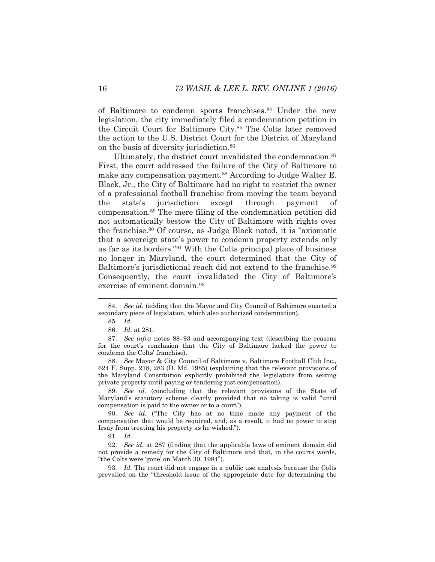of Baltimore to condemn sports franchises.<sup>84</sup> Under the new legislation, the city immediately filed a condemnation petition in the Circuit Court for Baltimore City.<sup>85</sup> The Colts later removed the action to the U.S. District Court for the District of Maryland on the basis of diversity jurisdiction.<sup>86</sup>

<span id="page-16-2"></span><span id="page-16-0"></span>Ultimately, the district court invalidated the condemnation.<sup>87</sup> First, the court addressed the failure of the City of Baltimore to make any compensation payment.<sup>88</sup> According to Judge Walter E. Black, Jr., the City of Baltimore had no right to restrict the owner of a professional football franchise from moving the team beyond the state's jurisdiction except through payment of compensation.<sup>89</sup> The mere filing of the condemnation petition did not automatically bestow the City of Baltimore with rights over the franchise.<sup>90</sup> Of course, as Judge Black noted, it is "axiomatic that a sovereign state's power to condemn property extends only as far as its borders."<sup>91</sup> With the Colts principal place of business no longer in Maryland, the court determined that the City of Baltimore's jurisdictional reach did not extend to the franchise.<sup>92</sup> Consequently, the court invalidated the City of Baltimore's exercise of eminent domain.<sup>93</sup>

<span id="page-16-1"></span>l

88. *See* Mayor & City Council of Baltimore v. Baltimore Football Club Inc., 624 F. Supp. 278, 283 (D. Md. 1985) (explaining that the relevant provisions of the Maryland Constitution explicitly prohibited the legislature from seizing private property until paying or tendering just compensation).

89. *See id.* (concluding that the relevant provisions of the State of Maryland's statutory scheme clearly provided that no taking is valid "until compensation is paid to the owner or to a court").

90. *See id.* ("The City has at no time made any payment of the compensation that would be required, and, as a result, it had no power to stop Irsay from treating his property as he wished.").

91. *Id.*

92. *See id.* at 287 (finding that the applicable laws of eminent domain did not provide a remedy for the City of Baltimore and that, in the courts words, "the Colts were 'gone' on March 30, 1984").

93. *Id.* The court did not engage in a public use analysis because the Colts prevailed on the "threshold issue of the appropriate date for determining the

<sup>84.</sup> *See id.* (adding that the Mayor and City Council of Baltimore enacted a secondary piece of legislation, which also authorized condemnation).

<sup>85.</sup> *Id.*

<sup>86.</sup> *Id.* at 281.

<sup>87.</sup> *See infra* notes [88](#page-16-0)–[93](#page-16-1) and accompanying text (describing the reasons for the court's conclusion that the City of Baltimore lacked the power to condemn the Colts' franchise).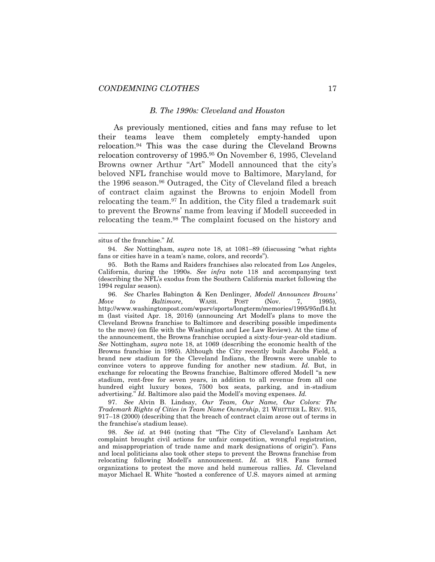#### <span id="page-17-0"></span>*B. The 1990s: Cleveland and Houston*

As previously mentioned, cities and fans may refuse to let their teams leave them completely empty-handed upon relocation.<sup>94</sup> This was the case during the Cleveland Browns relocation controversy of 1995.<sup>95</sup> On November 6, 1995, Cleveland Browns owner Arthur "Art" Modell announced that the city's beloved NFL franchise would move to Baltimore, Maryland, for the 1996 season.<sup>96</sup> Outraged, the City of Cleveland filed a breach of contract claim against the Browns to enjoin Modell from relocating the team.<sup>97</sup> In addition, the City filed a trademark suit to prevent the Browns' name from leaving if Modell succeeded in relocating the team.<sup>98</sup> The complaint focused on the history and

<span id="page-17-2"></span><span id="page-17-1"></span>

94. *See* Nottingham, *supra* note [18,](#page-5-0) at 1081–89 (discussing "what rights fans or cities have in a team's name, colors, and records").

96. *See* Charles Babington & Ken Denlinger, *Modell Announces Browns' Move to Baltimore*, WASH. POST (Nov. 7, 1995), http://www.washingtonpost.com/wpsrv/sports/longterm/memories/1995/95nfl4.ht m (last visited Apr. 18, 2016) (announcing Art Modell's plans to move the Cleveland Browns franchise to Baltimore and describing possible impediments to the move) (on file with the Washington and Lee Law Review). At the time of the announcement, the Browns franchise occupied a sixty-four-year-old stadium. *See* Nottingham, *supra* note [18,](#page-5-0) at 1069 (describing the economic health of the Browns franchise in 1995). Although the City recently built Jacobs Field, a brand new stadium for the Cleveland Indians, the Browns were unable to convince voters to approve funding for another new stadium. *Id.* But, in exchange for relocating the Browns franchise, Baltimore offered Modell "a new stadium, rent-free for seven years, in addition to all revenue from all one hundred eight luxury boxes, 7500 box seats, parking, and in-stadium advertising." *Id.* Baltimore also paid the Modell's moving expenses. *Id.*

97. *See* Alvin B. Lindsay, *Our Team, Our Name, Our Colors: The Trademark Rights of Cities in Team Name Ownership*, 21 WHITTIER L. REV. 915, 917–18 (2000) (describing that the breach of contract claim arose out of terms in the franchise's stadium lease).

98. *See id.* at 946 (noting that "The City of Cleveland's Lanham Act complaint brought civil actions for unfair competition, wrongful registration, and misappropriation of trade name and mark designations of origin"). Fans and local politicians also took other steps to prevent the Browns franchise from relocating following Modell's announcement. *Id.* at 918. Fans formed organizations to protest the move and held numerous rallies. *Id.* Cleveland mayor Michael R. White "hosted a conference of U.S. mayors aimed at arming

situs of the franchise." *Id.*

<sup>95.</sup> Both the Rams and Raiders franchises also relocated from Los Angeles, California, during the 1990s. *See infra* note [118](#page-20-0) and accompanying text (describing the NFL's exodus from the Southern California market following the 1994 regular season).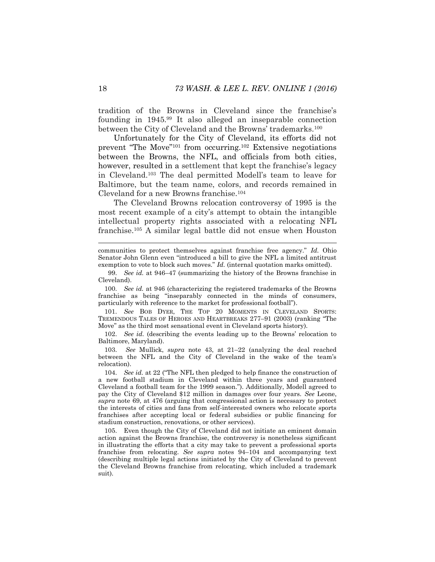tradition of the Browns in Cleveland since the franchise's founding in 1945.<sup>99</sup> It also alleged an inseparable connection between the City of Cleveland and the Browns' trademarks.<sup>100</sup>

<span id="page-18-2"></span>Unfortunately for the City of Cleveland, its efforts did not prevent "The Move"<sup>101</sup> from occurring.<sup>102</sup> Extensive negotiations between the Browns, the NFL, and officials from both cities, however, resulted in a settlement that kept the franchise's legacy in Cleveland.<sup>103</sup> The deal permitted Modell's team to leave for Baltimore, but the team name, colors, and records remained in Cleveland for a new Browns franchise.<sup>104</sup>

<span id="page-18-1"></span><span id="page-18-0"></span>The Cleveland Browns relocation controversy of 1995 is the most recent example of a city's attempt to obtain the intangible intellectual property rights associated with a relocating NFL franchise.<sup>105</sup> A similar legal battle did not ensue when Houston

communities to protect themselves against franchise free agency." *Id.* Ohio Senator John Glenn even "introduced a bill to give the NFL a limited antitrust exemption to vote to block such moves." *Id.* (internal quotation marks omitted).

100. *See id.* at 946 (characterizing the registered trademarks of the Browns franchise as being "inseparably connected in the minds of consumers, particularly with reference to the market for professional football").

101. *See* BOB DYER, THE TOP 20 MOMENTS IN CLEVELAND SPORTS: TREMENDOUS TALES OF HEROES AND HEARTBREAKS 277–91 (2003) (ranking "The Move" as the third most sensational event in Cleveland sports history).

102. *See id.* (describing the events leading up to the Browns' relocation to Baltimore, Maryland).

103. *See* Mullick, *supra* note [43,](#page-10-1) at 21–22 (analyzing the deal reached between the NFL and the City of Cleveland in the wake of the team's relocation).

104. *See id.* at 22 ("The NFL then pledged to help finance the construction of a new football stadium in Cleveland within three years and guaranteed Cleveland a football team for the 1999 season."). Additionally, Modell agreed to pay the City of Cleveland \$12 million in damages over four years. *See* Leone, *supra* note [69,](#page-14-0) at 476 (arguing that congressional action is necessary to protect the interests of cities and fans from self-interested owners who relocate sports franchises after accepting local or federal subsidies or public financing for stadium construction, renovations, or other services).

105. Even though the City of Cleveland did not initiate an eminent domain action against the Browns franchise, the controversy is nonetheless significant in illustrating the efforts that a city may take to prevent a professional sports franchise from relocating. *See supra* notes [94](#page-17-0)–[104](#page-18-0) and accompanying text (describing multiple legal actions initiated by the City of Cleveland to prevent the Cleveland Browns franchise from relocating, which included a trademark suit).

l

<sup>99.</sup> *See id.* at 946–47 (summarizing the history of the Browns franchise in Cleveland).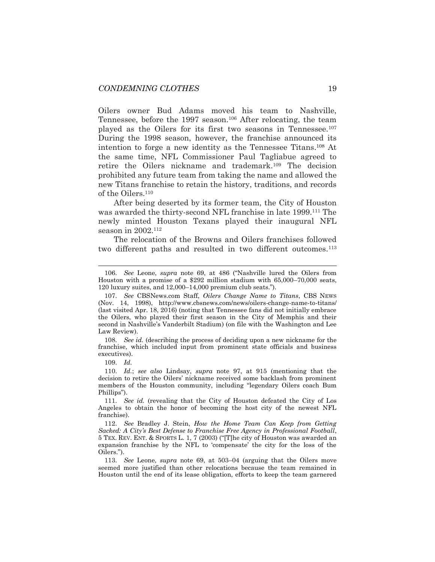<span id="page-19-0"></span>Oilers owner Bud Adams moved his team to Nashville, Tennessee, before the 1997 season.<sup>106</sup> After relocating, the team played as the Oilers for its first two seasons in Tennessee.<sup>107</sup> During the 1998 season, however, the franchise announced its intention to forge a new identity as the Tennessee Titans. <sup>108</sup> At the same time, NFL Commissioner Paul Tagliabue agreed to retire the Oilers nickname and trademark.<sup>109</sup> The decision prohibited any future team from taking the name and allowed the new Titans franchise to retain the history, traditions, and records of the Oilers.<sup>110</sup>

<span id="page-19-1"></span>After being deserted by its former team, the City of Houston was awarded the thirty-second NFL franchise in late 1999.<sup>111</sup> The newly minted Houston Texans played their inaugural NFL season in 2002.<sup>112</sup>

The relocation of the Browns and Oilers franchises followed two different paths and resulted in two different outcomes.<sup>113</sup>

109. *Id.* 

<sup>106.</sup> *See* Leone, *supra* note [69](#page-14-0), at 486 ("Nashville lured the Oilers from Houston with a promise of a \$292 million stadium with 65,000–70,000 seats, 120 luxury suites, and 12,000–14,000 premium club seats.").

<sup>107.</sup> *See* CBSNews.com Staff, *Oilers Change Name to Titans*, CBS NEWS (Nov. 14, 1998), http://www.cbsnews.com/news/oilers-change-name-to-titans/ (last visited Apr. 18, 2016) (noting that Tennessee fans did not initially embrace the Oilers, who played their first season in the City of Memphis and their second in Nashville's Vanderbilt Stadium) (on file with the Washington and Lee Law Review).

<sup>108.</sup> *See id.* (describing the process of deciding upon a new nickname for the franchise, which included input from prominent state officials and business executives).

<sup>110.</sup> *Id.*; *see also* Lindsay, *supra* note [97,](#page-17-1) at 915 (mentioning that the decision to retire the Oilers' nickname received some backlash from prominent members of the Houston community, including "legendary Oilers coach Bum Phillips").

<sup>111.</sup> *See id.* (revealing that the City of Houston defeated the City of Los Angeles to obtain the honor of becoming the host city of the newest NFL franchise).

<sup>112.</sup> *See* Bradley J. Stein, *How the Home Team Can Keep from Getting Sacked: A City's Best Defense to Franchise Free Agency in Professional Football*, 5 TEX. REV. ENT. & SPORTS L. 1, 7 (2003) ("[T]he city of Houston was awarded an expansion franchise by the NFL to 'compensate' the city for the loss of the Oilers.").

<sup>113.</sup> *See* Leone, *supra* note [69,](#page-14-0) at 503–04 (arguing that the Oilers move seemed more justified than other relocations because the team remained in Houston until the end of its lease obligation, efforts to keep the team garnered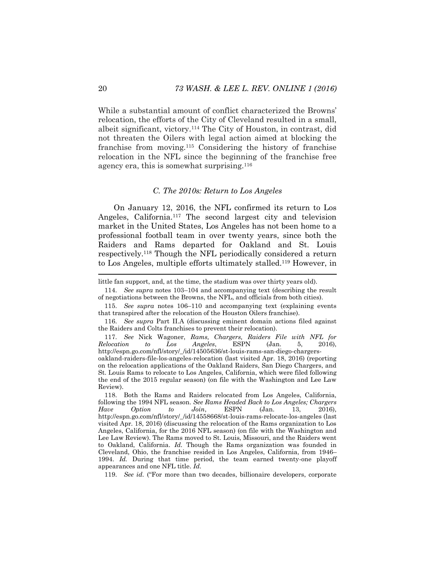While a substantial amount of conflict characterized the Browns' relocation, the efforts of the City of Cleveland resulted in a small, albeit significant, victory.<sup>114</sup> The City of Houston, in contrast, did not threaten the Oilers with legal action aimed at blocking the franchise from moving.<sup>115</sup> Considering the history of franchise relocation in the NFL since the beginning of the franchise free agency era, this is somewhat surprising.<sup>116</sup>

#### <span id="page-20-1"></span>*C. The 2010s: Return to Los Angeles*

On January 12, 2016, the NFL confirmed its return to Los Angeles, California.<sup>117</sup> The second largest city and television market in the United States, Los Angeles has not been home to a professional football team in over twenty years, since both the Raiders and Rams departed for Oakland and St. Louis respectively.<sup>118</sup> Though the NFL periodically considered a return to Los Angeles, multiple efforts ultimately stalled.<sup>119</sup> However, in

114. *See supra* notes [103](#page-18-1)–[104](#page-18-0) and accompanying text (describing the result of negotiations between the Browns, the NFL, and officials from both cities).

<span id="page-20-0"></span>little fan support, and, at the time, the stadium was over thirty years old).

<sup>115.</sup> *See supra* notes [106](#page-19-0)–[110](#page-19-1) and accompanying text (explaining events that transpired after the relocation of the Houston Oilers franchise).

<sup>116.</sup> *See supra* Part II.A (discussing eminent domain actions filed against the Raiders and Colts franchises to prevent their relocation).

<sup>117.</sup> *See* Nick Wagoner, *Rams, Chargers, Raiders File with NFL for Relocation to Los Angeles*, ESPN (Jan. 5, 2016), http://espn.go.com/nfl/story/\_/id/14505636/st-louis-rams-san-diego-chargersoakland-raiders-file-los-angeles-relocation (last visited Apr. 18, 2016) (reporting on the relocation applications of the Oakland Raiders, San Diego Chargers, and St. Louis Rams to relocate to Los Angeles, California, which were filed following the end of the 2015 regular season) (on file with the Washington and Lee Law Review).

<sup>118.</sup> Both the Rams and Raiders relocated from Los Angeles, California, following the 1994 NFL season. *See Rams Headed Back to Los Angeles; Chargers Have Option to Join*, ESPN (Jan. 13, 2016), http://espn.go.com/nfl/story/\_/id/14558668/st-louis-rams-relocate-los-angeles (last visited Apr. 18, 2016) (discussing the relocation of the Rams organization to Los Angeles, California, for the 2016 NFL season) (on file with the Washington and Lee Law Review). The Rams moved to St. Louis, Missouri, and the Raiders went to Oakland, California. *Id.* Though the Rams organization was founded in Cleveland, Ohio, the franchise resided in Los Angeles, California, from 1946– 1994. *Id.* During that time period, the team earned twenty-one playoff appearances and one NFL title. *Id.*

<sup>119.</sup> *See id.* ("For more than two decades, billionaire developers, corporate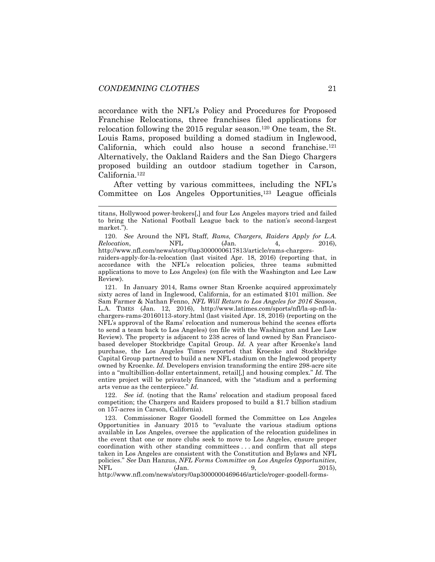accordance with the NFL's Policy and Procedures for Proposed Franchise Relocations, three franchises filed applications for relocation following the 2015 regular season.<sup>120</sup> One team, the St. Louis Rams, proposed building a domed stadium in Inglewood, California, which could also house a second franchise.<sup>121</sup> Alternatively, the Oakland Raiders and the San Diego Chargers proposed building an outdoor stadium together in Carson, California.<sup>122</sup>

After vetting by various committees, including the NFL's Committee on Los Angeles Opportunities, $123$  League officials

120. *See* Around the NFL Staff, *Rams, Chargers, Raiders Apply for L.A. Relocation*, **NFL** (Jan. 4, 2016),

http://www.nfl.com/news/story/0ap3000000617813/article/rams-chargersraiders-apply-for-la-relocation (last visited Apr. 18, 2016) (reporting that, in accordance with the NFL's relocation policies, three teams submitted applications to move to Los Angeles) (on file with the Washington and Lee Law Review).

121. In January 2014, Rams owner Stan Kroenke acquired approximately sixty acres of land in Inglewood, California, for an estimated \$101 million. *See*  Sam Farmer & Nathan Fenno, *NFL Will Return to Los Angeles for 2016 Season*, L.A. TIMES (Jan. 12, 2016), http://www.latimes.com/sports/nfl/la-sp-nfl-lachargers-rams-20160113-story.html (last visited Apr. 18, 2016) (reporting on the NFL's approval of the Rams' relocation and numerous behind the scenes efforts to send a team back to Los Angeles) (on file with the Washington and Lee Law Review). The property is adjacent to 238 acres of land owned by San Franciscobased developer Stockbridge Capital Group. *Id.* A year after Kroenke's land purchase, the Los Angeles Times reported that Kroenke and Stockbridge Capital Group partnered to build a new NFL stadium on the Inglewood property owned by Kroenke. *Id.* Developers envision transforming the entire 298-acre site into a "multibillion-dollar entertainment, retail[,] and housing complex." *Id.* The entire project will be privately financed, with the "stadium and a performing arts venue as the centerpiece." *Id.*

122. *See id.* (noting that the Rams' relocation and stadium proposal faced competition; the Chargers and Raiders proposed to build a \$1.7 billion stadium on 157-acres in Carson, California).

123. Commissioner Roger Goodell formed the Committee on Los Angeles Opportunities in January 2015 to "evaluate the various stadium options available in Los Angeles, oversee the application of the relocation guidelines in the event that one or more clubs seek to move to Los Angeles, ensure proper coordination with other standing committees . . . and confirm that all steps taken in Los Angeles are consistent with the Constitution and Bylaws and NFL policies." *See* Dan Hanzus, *NFL Forms Committee on Los Angeles Opportunities*, NFL (Jan. 9, 2015),

http://www.nfl.com/news/story/0ap3000000469646/article/roger-goodell-forms-

titans, Hollywood power-brokers[,] and four Los Angeles mayors tried and failed to bring the National Football League back to the nation's second-largest market.").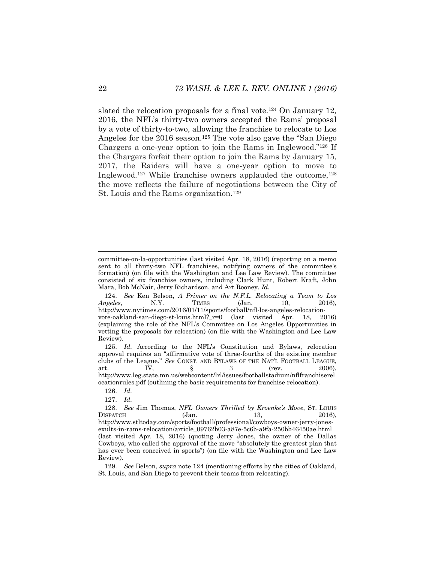<span id="page-22-2"></span><span id="page-22-1"></span><span id="page-22-0"></span>slated the relocation proposals for a final vote.<sup>124</sup> On January 12, 2016, the NFL's thirty-two owners accepted the Rams' proposal by a vote of thirty-to-two, allowing the franchise to relocate to Los Angeles for the 2016 season.<sup>125</sup> The vote also gave the "San Diego" Chargers a one-year option to join the Rams in Inglewood."<sup>126</sup> If the Chargers forfeit their option to join the Rams by January 15, 2017, the Raiders will have a one-year option to move to Inglewood.<sup>127</sup> While franchise owners applauded the outcome,<sup>128</sup> the move reflects the failure of negotiations between the City of St. Louis and the Rams organization.<sup>129</sup>

l

committee-on-la-opportunities (last visited Apr. 18, 2016) (reporting on a memo sent to all thirty-two NFL franchises, notifying owners of the committee's formation) (on file with the Washington and Lee Law Review). The committee consisted of six franchise owners, including Clark Hunt, Robert Kraft, John Mara, Bob McNair, Jerry Richardson, and Art Rooney. *Id.*

<sup>124.</sup> *See* Ken Belson, *A Primer on the N.F.L. Relocating a Team to Los Angeles*, N.Y. TIMES (Jan. 10, 2016), http://www.nytimes.com/2016/01/11/sports/football/nfl-los-angeles-relocationvote-oakland-san-diego-st-louis.html?\_r=0 (last visited Apr. 18, 2016) (explaining the role of the NFL's Committee on Los Angeles Opportunities in vetting the proposals for relocation) (on file with the Washington and Lee Law Review).

<sup>125.</sup> *Id.* According to the NFL's Constitution and Bylaws, relocation approval requires an "affirmative vote of three-fourths of the existing member clubs of the League." *See* CONST. AND BYLAWS OF THE NAT'L FOOTBALL LEAGUE, art. IV,  $\S$  3 (rev. 2006), http://www.leg.state.mn.us/webcontent/lrl/issues/footballstadium/nflfranchiserel ocationrules.pdf (outlining the basic requirements for franchise relocation).

<sup>126.</sup> *Id.*

<sup>127.</sup> *Id.*

<sup>128.</sup> *See* Jim Thomas, *NFL Owners Thrilled by Kroenke's Move*, ST. LOUIS  $D$ ISPATCH (Jan. 13, 2016), http://www.stltoday.com/sports/football/professional/cowboys-owner-jerry-jonesexults-in-rams-relocation/article\_09762b03-a87e-5c6b-a9fa-250bb46450ae.html (last visited Apr. 18, 2016) (quoting Jerry Jones, the owner of the Dallas Cowboys, who called the approval of the move "absolutely the greatest plan that has ever been conceived in sports") (on file with the Washington and Lee Law Review).

<sup>129.</sup> *See* Belson, *supra* note [124](#page-22-0) (mentioning efforts by the cities of Oakland, St. Louis, and San Diego to prevent their teams from relocating).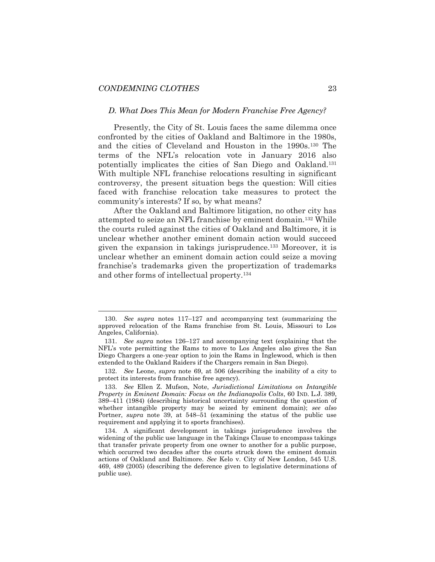l

#### *D. What Does This Mean for Modern Franchise Free Agency?*

Presently, the City of St. Louis faces the same dilemma once confronted by the cities of Oakland and Baltimore in the 1980s, and the cities of Cleveland and Houston in the 1990s.<sup>130</sup> The terms of the NFL's relocation vote in January 2016 also potentially implicates the cities of San Diego and Oakland.<sup>131</sup> With multiple NFL franchise relocations resulting in significant controversy, the present situation begs the question: Will cities faced with franchise relocation take measures to protect the community's interests? If so, by what means?

After the Oakland and Baltimore litigation, no other city has attempted to seize an NFL franchise by eminent domain.<sup>132</sup> While the courts ruled against the cities of Oakland and Baltimore, it is unclear whether another eminent domain action would succeed given the expansion in takings jurisprudence.<sup>133</sup> Moreover, it is unclear whether an eminent domain action could seize a moving franchise's trademarks given the propertization of trademarks and other forms of intellectual property.<sup>134</sup>

132. *See* Leone, *supra* note [69,](#page-14-0) at 506 (describing the inability of a city to protect its interests from franchise free agency).

<sup>130.</sup> *See supra* notes [117](#page-20-1)–[127](#page-22-1) and accompanying text (summarizing the approved relocation of the Rams franchise from St. Louis, Missouri to Los Angeles, California).

<sup>131.</sup> *See supra* notes [126](#page-22-2)–[127](#page-22-1) and accompanying text (explaining that the NFL's vote permitting the Rams to move to Los Angeles also gives the San Diego Chargers a one-year option to join the Rams in Inglewood, which is then extended to the Oakland Raiders if the Chargers remain in San Diego).

<sup>133.</sup> *See* Ellen Z. Mufson, Note, *Jurisdictional Limitations on Intangible Property in Eminent Domain: Focus on the Indianapolis Colts*, 60 IND. L.J. 389, 389–411 (1984) (describing historical uncertainty surrounding the question of whether intangible property may be seized by eminent domain); *see also*  Portner, *supra* note [39,](#page-9-0) at 548–51 (examining the status of the public use requirement and applying it to sports franchises).

<sup>134.</sup> A significant development in takings jurisprudence involves the widening of the public use language in the Takings Clause to encompass takings that transfer private property from one owner to another for a public purpose, which occurred two decades after the courts struck down the eminent domain actions of Oakland and Baltimore. *See* Kelo v. City of New London, 545 U.S. 469, 489 (2005) (describing the deference given to legislative determinations of public use).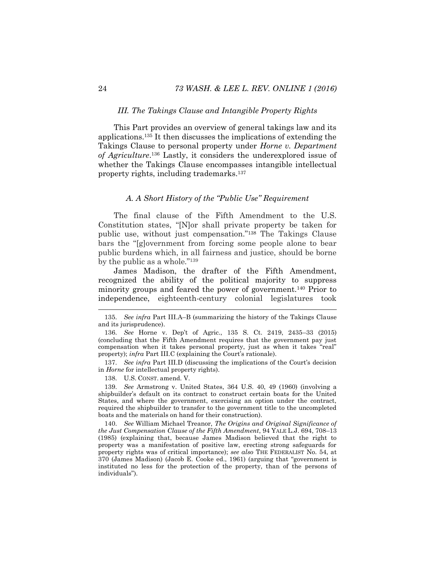#### *III. The Takings Clause and Intangible Property Rights*

This Part provides an overview of general takings law and its applications.<sup>135</sup> It then discusses the implications of extending the Takings Clause to personal property under *Horne v. Department of Agriculture*. <sup>136</sup> Lastly, it considers the underexplored issue of whether the Takings Clause encompasses intangible intellectual property rights, including trademarks.<sup>137</sup>

# <span id="page-24-0"></span>*A. A Short History of the "Public Use" Requirement*

The final clause of the Fifth Amendment to the U.S. Constitution states, "[N]or shall private property be taken for public use, without just compensation."<sup>138</sup> The Takings Clause bars the "[g]overnment from forcing some people alone to bear public burdens which, in all fairness and justice, should be borne by the public as a whole."<sup>139</sup>

James Madison, the drafter of the Fifth Amendment, recognized the ability of the political majority to suppress minority groups and feared the power of government.<sup>140</sup> Prior to independence, eighteenth-century colonial legislatures took

137. *See infra* Part III.D (discussing the implications of the Court's decision in *Horne* for intellectual property rights).

138. U.S. CONST. amend. V.

139. *See* Armstrong v. United States, 364 U.S. 40, 49 (1960) (involving a shipbuilder's default on its contract to construct certain boats for the United States, and where the government, exercising an option under the contract, required the shipbuilder to transfer to the government title to the uncompleted boats and the materials on hand for their construction).

140. *See* William Michael Treanor, *The Origins and Original Significance of the Just Compensation Clause of the Fifth Amendment*, 94 YALE L.J. 694, 708–13 (1985) (explaining that, because James Madison believed that the right to property was a manifestation of positive law, erecting strong safeguards for property rights was of critical importance); *see also* THE FEDERALIST No. 54, at 370 (James Madison) (Jacob E. Cooke ed., 1961) (arguing that "government is instituted no less for the protection of the property, than of the persons of individuals").

<sup>135.</sup> *See infra* Part III.A–B (summarizing the history of the Takings Clause and its jurisprudence).

<sup>136.</sup> *See* Horne v. Dep't of Agric., 135 S. Ct. 2419, 2435–33 (2015) (concluding that the Fifth Amendment requires that the government pay just compensation when it takes personal property, just as when it takes "real" property); *infra* Part III.C (explaining the Court's rationale).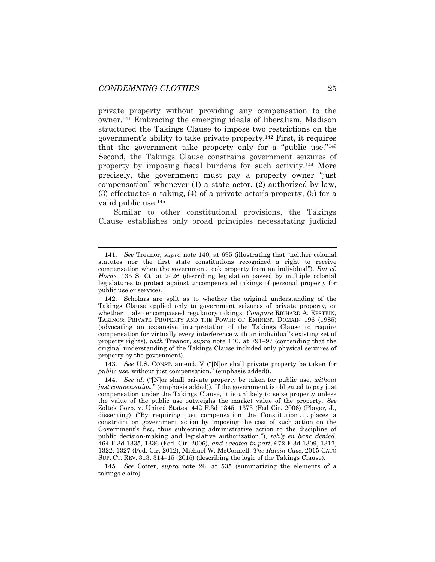l

<span id="page-25-1"></span>private property without providing any compensation to the owner.<sup>141</sup> Embracing the emerging ideals of liberalism, Madison structured the Takings Clause to impose two restrictions on the government's ability to take private property.<sup>142</sup> First, it requires that the government take property only for a "public use."<sup>143</sup> Second, the Takings Clause constrains government seizures of property by imposing fiscal burdens for such activity.<sup>144</sup> More precisely, the government must pay a property owner "just compensation" whenever (1) a state actor, (2) authorized by law, (3) effectuates a taking, (4) of a private actor's property, (5) for a valid public use.<sup>145</sup>

<span id="page-25-0"></span>Similar to other constitutional provisions, the Takings Clause establishes only broad principles necessitating judicial

143. *See* U.S. CONST. amend. V ("[N]or shall private property be taken for *public use*, without just compensation." (emphasis added)).

<sup>141.</sup> *See* Treanor, *supra* note [140](#page-24-0), at 695 (illustrating that "neither colonial statutes nor the first state constitutions recognized a right to receive compensation when the government took property from an individual"). *But cf. Horne*, 135 S. Ct. at 2426 (describing legislation passed by multiple colonial legislatures to protect against uncompensated takings of personal property for public use or service).

<sup>142.</sup> Scholars are split as to whether the original understanding of the Takings Clause applied only to government seizures of private property, or whether it also encompassed regulatory takings. *Compare* RICHARD A. EPSTEIN, TAKINGS: PRIVATE PROPERTY AND THE POWER OF EMINENT DOMAIN 196 (1985) (advocating an expansive interpretation of the Takings Clause to require compensation for virtually every interference with an individual's existing set of property rights), *with* Treanor, *supra* note [140,](#page-24-0) at 791–97 (contending that the original understanding of the Takings Clause included only physical seizures of property by the government).

<sup>144.</sup> *See id.* ("[N]or shall private property be taken for public use, *without just compensation*." (emphasis added)). If the government is obligated to pay just compensation under the Takings Clause, it is unlikely to seize property unless the value of the public use outweighs the market value of the property. *See*  Zoltek Corp. v. United States, 442 F.3d 1345, 1373 (Fed Cir. 2006) (Plager, J., dissenting) ("By requiring just compensation the Constitution ... places a constraint on government action by imposing the cost of such action on the Government's fisc, thus subjecting administrative action to the discipline of public decision-making and legislative authorization."), *reh'g en banc denied*, 464 F.3d 1335, 1336 (Fed. Cir. 2006), *and vacated in part*, 672 F.3d 1309, 1317, 1322, 1327 (Fed. Cir. 2012); Michael W. McConnell, *The Raisin Case*, 2015 CATO SUP. CT. REV. 313, 314–15 (2015) (describing the logic of the Takings Clause).

<sup>145.</sup> *See* Cotter, *supra* note [26,](#page-7-1) at 535 (summarizing the elements of a takings claim).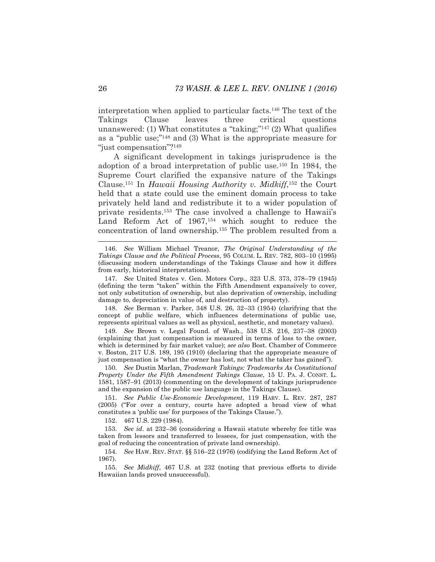<span id="page-26-1"></span>interpretation when applied to particular facts.<sup>146</sup> The text of the Takings Clause leaves three critical questions unanswered: (1) What constitutes a "taking;" <sup>147</sup> (2) What qualifies as a "public use;" <sup>148</sup> and (3) What is the appropriate measure for "just compensation"?<sup>149</sup>

<span id="page-26-2"></span><span id="page-26-0"></span>A significant development in takings jurisprudence is the adoption of a broad interpretation of public use.<sup>150</sup> In 1984, the Supreme Court clarified the expansive nature of the Takings Clause.<sup>151</sup> In *Hawaii Housing Authority v. Midkiff*, <sup>152</sup> the Court held that a state could use the eminent domain process to take privately held land and redistribute it to a wider population of private residents.<sup>153</sup> The case involved a challenge to Hawaii's Land Reform Act of 1967,<sup>154</sup> which sought to reduce the concentration of land ownership.<sup>155</sup> The problem resulted from a

147. *See* United States v. Gen. Motors Corp., 323 U.S. 373, 378–79 (1945) (defining the term "taken" within the Fifth Amendment expansively to cover, not only substitution of ownership, but also deprivation of ownership, including damage to, depreciation in value of, and destruction of property).

148. *See* Berman v. Parker, 348 U.S. 26, 32–33 (1954) (clarifying that the concept of public welfare, which influences determinations of public use, represents spiritual values as well as physical, aesthetic, and monetary values).

149. *See* Brown v. Legal Found. of Wash., 538 U.S. 216, 237–38 (2003) (explaining that just compensation is measured in terms of loss to the owner, which is determined by fair market value); *see also* Bost. Chamber of Commerce v. Boston, 217 U.S. 189, 195 (1910) (declaring that the appropriate measure of just compensation is "what the owner has lost, not what the taker has gained").

150. *See* Dustin Marlan, *Trademark Takings: Trademarks As Constitutional Property Under the Fifth Amendment Takings Clause*, 15 U. PA. J. CONST. L. 1581, 1587–91 (2013) (commenting on the development of takings jurisprudence and the expansion of the public use language in the Takings Clause).

151. *See Public Use-Economic Development*, 119 HARV. L. REV. 287, 287 (2005) ("For over a century, courts have adopted a broad view of what constitutes a 'public use' for purposes of the Takings Clause.").

152. 467 U.S. 229 (1984).

153. *See id*. at 232–36 (considering a Hawaii statute whereby fee title was taken from lessors and transferred to lessees, for just compensation, with the goal of reducing the concentration of private land ownership).

154. *See* HAW. REV. STAT. §§ 516–22 (1976) (codifying the Land Reform Act of 1967).

155. *See Midkiff*, 467 U.S. at 232 (noting that previous efforts to divide Hawaiian lands proved unsuccessful).

<sup>146.</sup> *See* William Michael Treanor, *The Original Understanding of the Takings Clause and the Political Process*, 95 COLUM. L. REV. 782, 803–10 (1995) (discussing modern understandings of the Takings Clause and how it differs from early, historical interpretations).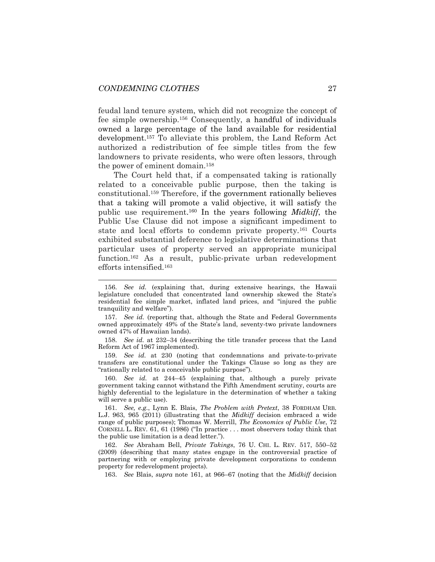feudal land tenure system, which did not recognize the concept of fee simple ownership.<sup>156</sup> Consequently, a handful of individuals owned a large percentage of the land available for residential development.<sup>157</sup> To alleviate this problem, the Land Reform Act authorized a redistribution of fee simple titles from the few landowners to private residents, who were often lessors, through the power of eminent domain.<sup>158</sup>

<span id="page-27-0"></span>The Court held that, if a compensated taking is rationally related to a conceivable public purpose, then the taking is constitutional.<sup>159</sup> Therefore, if the government rationally believes that a taking will promote a valid objective, it will satisfy the public use requirement. <sup>160</sup> In the years following *Midkiff*, the Public Use Clause did not impose a significant impediment to state and local efforts to condemn private property.<sup>161</sup> Courts exhibited substantial deference to legislative determinations that particular uses of property served an appropriate municipal function.<sup>162</sup> As a result, public-private urban redevelopment efforts intensified.<sup>163</sup>

157. *See id.* (reporting that, although the State and Federal Governments owned approximately 49% of the State's land, seventy-two private landowners owned 47% of Hawaiian lands).

158. *See id.* at 232–34 (describing the title transfer process that the Land Reform Act of 1967 implemented).

159. *See id.* at 230 (noting that condemnations and private-to-private transfers are constitutional under the Takings Clause so long as they are "rationally related to a conceivable public purpose").

160. *See id.* at 244–45 (explaining that, although a purely private government taking cannot withstand the Fifth Amendment scrutiny, courts are highly deferential to the legislature in the determination of whether a taking will serve a public use).

161. *See, e.g.*, Lynn E. Blais, *The Problem with Pretext*, 38 FORDHAM URB. L.J. 963, 965 (2011) (illustrating that the *Midkiff* decision embraced a wide range of public purposes); Thomas W. Merrill, *The Economics of Public Use*, 72 CORNELL L. REV. 61, 61 (1986) ("In practice . . . most observers today think that the public use limitation is a dead letter.").

162. *See* Abraham Bell, *Private Takings*, 76 U. CHI. L. REV. 517, 550–52 (2009) (describing that many states engage in the controversial practice of partnering with or employing private development corporations to condemn property for redevelopment projects).

163. *See* Blais, *supra* note [161,](#page-27-0) at 966–67 (noting that the *Midkiff* decision

<span id="page-27-1"></span><sup>156.</sup> *See id.* (explaining that, during extensive hearings, the Hawaii legislature concluded that concentrated land ownership skewed the State's residential fee simple market, inflated land prices, and "injured the public tranquility and welfare").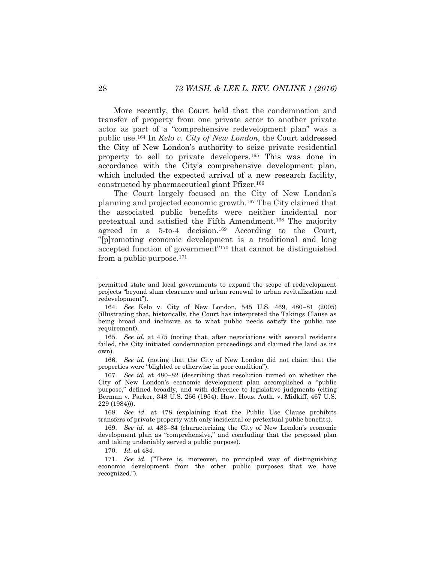More recently, the Court held that the condemnation and transfer of property from one private actor to another private actor as part of a "comprehensive redevelopment plan" was a public use.<sup>164</sup> In *Kelo v. City of New London*, the Court addressed the City of New London's authority to seize private residential property to sell to private developers. <sup>165</sup> This was done in accordance with the City's comprehensive development plan, which included the expected arrival of a new research facility, constructed by pharmaceutical giant Pfizer.<sup>166</sup>

The Court largely focused on the City of New London's planning and projected economic growth.<sup>167</sup> The City claimed that the associated public benefits were neither incidental nor pretextual and satisfied the Fifth Amendment.<sup>168</sup> The majority agreed in a 5-to-4 decision.<sup>169</sup> According to the Court, "[p]romoting economic development is a traditional and long accepted function of government"<sup>170</sup> that cannot be distinguished from a public purpose. $171$ 

165. *See id.* at 475 (noting that, after negotiations with several residents failed, the City initiated condemnation proceedings and claimed the land as its own).

166. *See id.* (noting that the City of New London did not claim that the properties were "blighted or otherwise in poor condition").

167. *See id.* at 480–82 (describing that resolution turned on whether the City of New London's economic development plan accomplished a "public purpose," defined broadly, and with deference to legislative judgments (citing Berman v. Parker, 348 U.S. 266 (1954); Haw. Hous. Auth. v. Midkiff, 467 U.S. 229 (1984))).

168. *See id.* at 478 (explaining that the Public Use Clause prohibits transfers of private property with only incidental or pretextual public benefits).

169. *See id.* at 483–84 (characterizing the City of New London's economic development plan as "comprehensive," and concluding that the proposed plan and taking undeniably served a public purpose).

170. *Id.* at 484.

171. *See id.* ("There is, moreover, no principled way of distinguishing economic development from the other public purposes that we have recognized.").

l

permitted state and local governments to expand the scope of redevelopment projects "beyond slum clearance and urban renewal to urban revitalization and redevelopment").

<sup>164.</sup> *See* Kelo v. City of New London, 545 U.S. 469, 480–81 (2005) (illustrating that, historically, the Court has interpreted the Takings Clause as being broad and inclusive as to what public needs satisfy the public use requirement).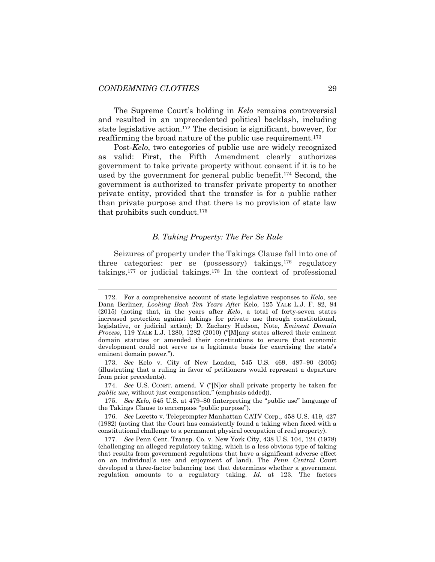l

The Supreme Court's holding in *Kelo* remains controversial and resulted in an unprecedented political backlash, including state legislative action.<sup>172</sup> The decision is significant, however, for reaffirming the broad nature of the public use requirement.<sup>173</sup>

Post-*Kelo*, two categories of public use are widely recognized as valid: First, the Fifth Amendment clearly authorizes government to take private property without consent if it is to be used by the government for general public benefit. <sup>174</sup> Second, the government is authorized to transfer private property to another private entity, provided that the transfer is for a public rather than private purpose and that there is no provision of state law that prohibits such conduct.<sup>175</sup>

#### *B. Taking Property: The Per Se Rule*

Seizures of property under the Takings Clause fall into one of three categories: per se (possessory) takings,<sup>176</sup> regulatory takings,<sup>177</sup> or judicial takings.<sup>178</sup> In the context of professional

<sup>172.</sup> For a comprehensive account of state legislative responses to *Kelo*, see Dana Berliner, *Looking Back Ten Years After* Kelo, 125 YALE L.J. F. 82, 84 (2015) (noting that, in the years after *Kelo*, a total of forty-seven states increased protection against takings for private use through constitutional, legislative, or judicial action); D. Zachary Hudson, Note, *Eminent Domain Process*, 119 YALE L.J. 1280, 1282 (2010) ("[M]any states altered their eminent domain statutes or amended their constitutions to ensure that economic development could not serve as a legitimate basis for exercising the state's eminent domain power.").

<sup>173.</sup> *See* Kelo v. City of New London, 545 U.S. 469, 487–90 (2005) (illustrating that a ruling in favor of petitioners would represent a departure from prior precedents).

<sup>174.</sup> *See* U.S. CONST. amend. V ("[N]or shall private property be taken for *public use*, without just compensation." (emphasis added)).

<sup>175.</sup> *See Kelo*, 545 U.S. at 479–80 (interpreting the "public use" language of the Takings Clause to encompass "public purpose").

<sup>176.</sup> *See* Loretto v. Teleprompter Manhattan CATV Corp., 458 U.S. 419, 427 (1982) (noting that the Court has consistently found a taking when faced with a constitutional challenge to a permanent physical occupation of real property).

<sup>177.</sup> *See* Penn Cent. Transp. Co. v. New York City, 438 U.S. 104, 124 (1978) (challenging an alleged regulatory taking, which is a less obvious type of taking that results from government regulations that have a significant adverse effect on an individual's use and enjoyment of land). The *Penn Central* Court developed a three-factor balancing test that determines whether a government regulation amounts to a regulatory taking. *Id.* at 123. The factors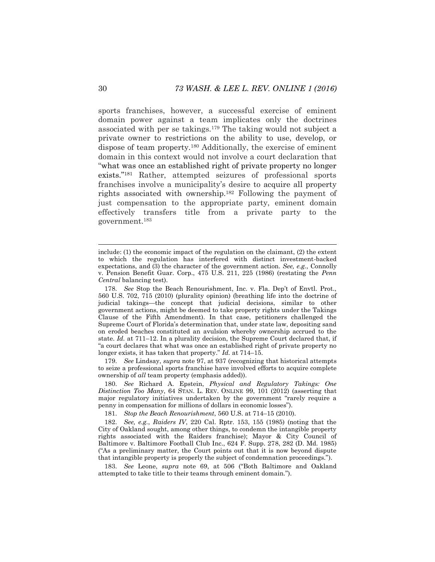sports franchises, however, a successful exercise of eminent domain power against a team implicates only the doctrines associated with per se takings.<sup>179</sup> The taking would not subject a private owner to restrictions on the ability to use, develop, or dispose of team property.<sup>180</sup> Additionally, the exercise of eminent domain in this context would not involve a court declaration that "what was once an established right of private property no longer exists."<sup>181</sup> Rather, attempted seizures of professional sports franchises involve a municipality's desire to acquire all property rights associated with ownership.<sup>182</sup> Following the payment of just compensation to the appropriate party, eminent domain effectively transfers title from a private party to the government.<sup>183</sup>

179. *See* Lindsay, *supra* note [97,](#page-17-1) at 937 (recognizing that historical attempts to seize a professional sports franchise have involved efforts to acquire complete ownership of *all* team property (emphasis added)).

180. *See* Richard A. Epstein, *Physical and Regulatory Takings: One Distinction Too Many*, 64 STAN. L. REV. ONLINE 99, 101 (2012) (asserting that major regulatory initiatives undertaken by the government "rarely require a penny in compensation for millions of dollars in economic losses").

181. *Stop the Beach Renourishment*, 560 U.S. at 714–15 (2010).

182. *See, e.g.*, *Raiders IV*, 220 Cal. Rptr. 153, 155 (1985) (noting that the City of Oakland sought, among other things, to condemn the intangible property rights associated with the Raiders franchise); Mayor & City Council of Baltimore v. Baltimore Football Club Inc., 624 F. Supp. 278, 282 (D. Md. 1985) ("As a preliminary matter, the Court points out that it is now beyond dispute that intangible property is properly the subject of condemnation proceedings.").

183. *See* Leone, *supra* note [69,](#page-14-0) at 506 ("Both Baltimore and Oakland attempted to take title to their teams through eminent domain.").

include: (1) the economic impact of the regulation on the claimant, (2) the extent to which the regulation has interfered with distinct investment-backed expectations, and (3) the character of the government action. *See, e.g.*, Connolly v. Pension Benefit Guar. Corp., 475 U.S. 211, 225 (1986) (restating the *Penn Central* balancing test).

<sup>178.</sup> *See* Stop the Beach Renourishment, Inc. v. Fla. Dep't of Envtl. Prot., 560 U.S. 702, 715 (2010) (plurality opinion) (breathing life into the doctrine of judicial takings—the concept that judicial decisions, similar to other government actions, might be deemed to take property rights under the Takings Clause of the Fifth Amendment). In that case, petitioners challenged the Supreme Court of Florida's determination that, under state law, depositing sand on eroded beaches constituted an avulsion whereby ownership accrued to the state. *Id.* at 711–12. In a plurality decision, the Supreme Court declared that, if "a court declares that what was once an established right of private property no longer exists, it has taken that property." *Id.* at 714–15.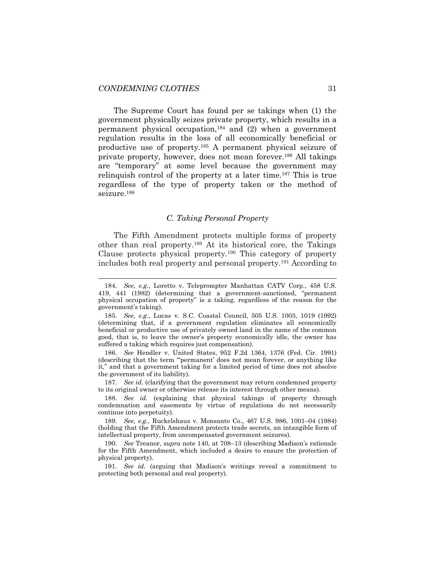The Supreme Court has found per se takings when (1) the government physically seizes private property, which results in a permanent physical occupation,<sup>184</sup> and (2) when a government regulation results in the loss of all economically beneficial or productive use of property.<sup>185</sup> A permanent physical seizure of private property, however, does not mean forever.<sup>186</sup> All takings are "temporary" at some level because the government may relinquish control of the property at a later time.<sup>187</sup> This is true regardless of the type of property taken or the method of seizure.<sup>188</sup>

# <span id="page-31-0"></span>*C. Taking Personal Property*

The Fifth Amendment protects multiple forms of property other than real property.<sup>189</sup> At its historical core, the Takings Clause protects physical property.<sup>190</sup> This category of property includes both real property and personal property.<sup>191</sup> According to

186. *See* Hendler v. United States, 952 F.2d 1364, 1376 (Fed. Cir. 1991) (describing that the term "'permanent' does not mean forever, or anything like it," and that a government taking for a limited period of time does not absolve the government of its liability).

187. *See id.* (clarifying that the government may return condemned property to its original owner or otherwise release its interest through other means).

188. *See id.* (explaining that physical takings of property through condemnation and easements by virtue of regulations do not necessarily continue into perpetuity).

189. *See, e.g.*, Ruckelshaus v. Monsanto Co., 467 U.S. 986, 1001–04 (1984) (holding that the Fifth Amendment protects trade secrets, an intangible form of intellectual property, from uncompensated government seizures).

190. *See* Treanor, *supra* note [140,](#page-24-0) at 708–13 (describing Madison's rationale for the Fifth Amendment, which included a desire to ensure the protection of physical property).

191. *See id.* (arguing that Madison's writings reveal a commitment to protecting both personal and real property).

<sup>184.</sup> *See, e.g.*, Loretto v. Teleprompter Manhattan CATV Corp., 458 U.S. 419, 441 (1982) (determining that a government-sanctioned, "permanent physical occupation of property" is a taking, regardless of the reason for the government's taking).

<sup>185.</sup> *See, e.g.*, Lucas v. S.C. Coastal Council, 505 U.S. 1003, 1019 (1992) (determining that, if a government regulation eliminates all economically beneficial or productive use of privately owned land in the name of the common good, that is, to leave the owner's property economically idle, the owner has suffered a taking which requires just compensation).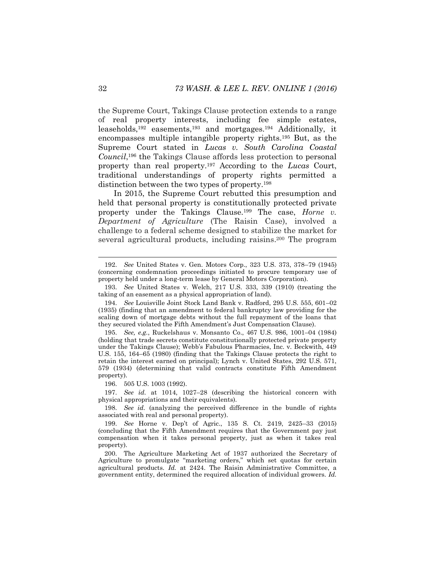the Supreme Court, Takings Clause protection extends to a range of real property interests, including fee simple estates, leaseholds,<sup>192</sup> easements,<sup>193</sup> and mortgages.<sup>194</sup> Additionally, it encompasses multiple intangible property rights.<sup>195</sup> But, as the Supreme Court stated in *Lucas v. South Carolina Coastal Council*, <sup>196</sup> the Takings Clause affords less protection to personal property than real property.<sup>197</sup> According to the *Lucas* Court, traditional understandings of property rights permitted a distinction between the two types of property.<sup>198</sup>

<span id="page-32-0"></span>In 2015, the Supreme Court rebutted this presumption and held that personal property is constitutionally protected private property under the Takings Clause.<sup>199</sup> The case, *Horne v. Department of Agriculture* (The Raisin Case), involved a challenge to a federal scheme designed to stabilize the market for several agricultural products, including raisins. <sup>200</sup> The program

196. 505 U.S. 1003 (1992).

197. *See id.* at 1014, 1027–28 (describing the historical concern with physical appropriations and their equivalents).

<sup>192.</sup> *See* United States v. Gen. Motors Corp., 323 U.S. 373, 378–79 (1945) (concerning condemnation proceedings initiated to procure temporary use of property held under a long-term lease by General Motors Corporation).

<sup>193.</sup> *See* United States v. Welch, 217 U.S. 333, 339 (1910) (treating the taking of an easement as a physical appropriation of land).

<sup>194.</sup> *See* Louisville Joint Stock Land Bank v. Radford, 295 U.S. 555, 601–02 (1935) (finding that an amendment to federal bankruptcy law providing for the scaling down of mortgage debts without the full repayment of the loans that they secured violated the Fifth Amendment's Just Compensation Clause).

<sup>195.</sup> *See, e.g.*, Ruckelshaus v. Monsanto Co., 467 U.S. 986, 1001–04 (1984) (holding that trade secrets constitute constitutionally protected private property under the Takings Clause); Webb's Fabulous Pharmacies, Inc. v. Beckwith, 449 U.S. 155, 164–65 (1980) (finding that the Takings Clause protects the right to retain the interest earned on principal); Lynch v. United States, 292 U.S. 571, 579 (1934) (determining that valid contracts constitute Fifth Amendment property).

<sup>198.</sup> *See id.* (analyzing the perceived difference in the bundle of rights associated with real and personal property).

<sup>199.</sup> *See* Horne v. Dep't of Agric., 135 S. Ct. 2419, 2425–33 (2015) (concluding that the Fifth Amendment requires that the Government pay just compensation when it takes personal property, just as when it takes real property).

<sup>200.</sup> The Agriculture Marketing Act of 1937 authorized the Secretary of Agriculture to promulgate "marketing orders," which set quotas for certain agricultural products. *Id.* at 2424. The Raisin Administrative Committee, a government entity, determined the required allocation of individual growers. *Id.*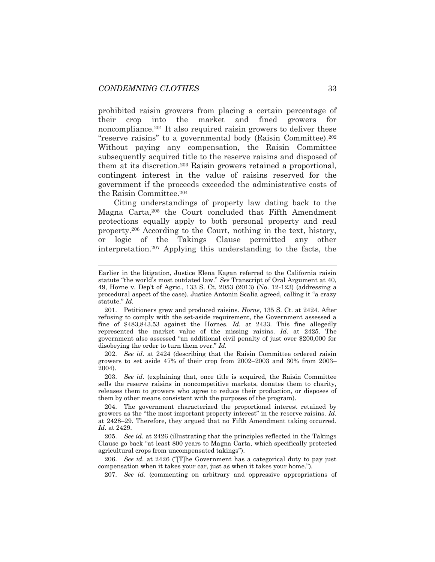prohibited raisin growers from placing a certain percentage of their crop into the market and fined growers for noncompliance.<sup>201</sup> It also required raisin growers to deliver these "reserve raisins" to a governmental body (Raisin Committee).<sup>202</sup> Without paying any compensation, the Raisin Committee subsequently acquired title to the reserve raisins and disposed of them at its discretion. <sup>203</sup> Raisin growers retained a proportional, contingent interest in the value of raisins reserved for the government if the proceeds exceeded the administrative costs of the Raisin Committee.<sup>204</sup>

Citing understandings of property law dating back to the Magna Carta,<sup>205</sup> the Court concluded that Fifth Amendment protections equally apply to both personal property and real property.<sup>206</sup> According to the Court, nothing in the text, history, or logic of the Takings Clause permitted any other interpretation.<sup>207</sup> Applying this understanding to the facts, the

202. *See id.* at 2424 (describing that the Raisin Committee ordered raisin growers to set aside 47% of their crop from 2002–2003 and 30% from 2003– 2004).

203. *See id.* (explaining that, once title is acquired, the Raisin Committee sells the reserve raisins in noncompetitive markets, donates them to charity, releases them to growers who agree to reduce their production, or disposes of them by other means consistent with the purposes of the program).

205. *See id.* at 2426 (illustrating that the principles reflected in the Takings Clause go back "at least 800 years to Magna Carta, which specifically protected agricultural crops from uncompensated takings").

206. *See id.* at 2426 ("[T]he Government has a categorical duty to pay just compensation when it takes your car, just as when it takes your home.").

207. *See id.* (commenting on arbitrary and oppressive appropriations of

Earlier in the litigation, Justice Elena Kagan referred to the California raisin statute "the world's most outdated law." *See* Transcript of Oral Argument at 40, 49, Horne v. Dep't of Agric., 133 S. Ct. 2053 (2013) (No. 12-123) (addressing a procedural aspect of the case). Justice Antonin Scalia agreed, calling it "a crazy statute." *Id.*

<sup>201.</sup> Petitioners grew and produced raisins. *Horne*, 135 S. Ct. at 2424*.* After refusing to comply with the set-aside requirement, the Government assessed a fine of \$483,843.53 against the Hornes. *Id.* at 2433. This fine allegedly represented the market value of the missing raisins. *Id.* at 2425. The government also assessed "an additional civil penalty of just over \$200,000 for disobeying the order to turn them over." *Id.*

<sup>204.</sup> The government characterized the proportional interest retained by growers as the "the most important property interest" in the reserve raisins. *Id.*  at 2428–29. Therefore, they argued that no Fifth Amendment taking occurred. *Id.* at 2429.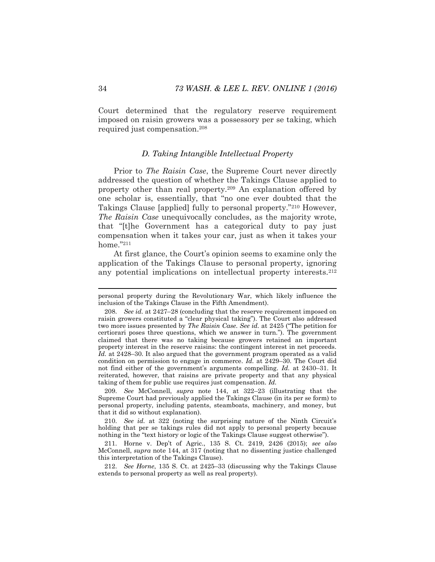Court determined that the regulatory reserve requirement imposed on raisin growers was a possessory per se taking, which required just compensation.<sup>208</sup>

### <span id="page-34-0"></span>*D. Taking Intangible Intellectual Property*

Prior to *The Raisin Case*, the Supreme Court never directly addressed the question of whether the Takings Clause applied to property other than real property.<sup>209</sup> An explanation offered by one scholar is, essentially, that "no one ever doubted that the Takings Clause [applied] fully to personal property."<sup>210</sup> However, *The Raisin Case* unequivocally concludes, as the majority wrote, that "[t]he Government has a categorical duty to pay just compensation when it takes your car, just as when it takes your home."<sup>211</sup>

At first glance, the Court's opinion seems to examine only the application of the Takings Clause to personal property, ignoring any potential implications on intellectual property interests.<sup>212</sup>

209. *See* McConnell, *supra* note [144,](#page-25-0) at 322–23 (illustrating that the Supreme Court had previously applied the Takings Clause (in its per se form) to personal property, including patents, steamboats, machinery, and money, but that it did so without explanation).

210. *See id.* at 322 (noting the surprising nature of the Ninth Circuit's holding that per se takings rules did not apply to personal property because nothing in the "text history or logic of the Takings Clause suggest otherwise").

211. Horne v. Dep't of Agric., 135 S. Ct. 2419, 2426 (2015); *see also*  McConnell, *supra* note [144,](#page-25-0) at 317 (noting that no dissenting justice challenged this interpretation of the Takings Clause).

212. *See Horne*, 135 S. Ct. at 2425–33 (discussing why the Takings Clause extends to personal property as well as real property).

personal property during the Revolutionary War, which likely influence the inclusion of the Takings Clause in the Fifth Amendment).

<sup>208.</sup> *See id.* at 2427–28 (concluding that the reserve requirement imposed on raisin growers constituted a "clear physical taking"). The Court also addressed two more issues presented by *The Raisin Case*. *See id.* at 2425 ("The petition for certiorari poses three questions, which we answer in turn."). The government claimed that there was no taking because growers retained an important property interest in the reserve raisins: the contingent interest in net proceeds. *Id.* at 2428–30. It also argued that the government program operated as a valid condition on permission to engage in commerce. *Id.* at 2429–30. The Court did not find either of the government's arguments compelling. *Id.* at 2430–31. It reiterated, however, that raisins are private property and that any physical taking of them for public use requires just compensation. *Id.*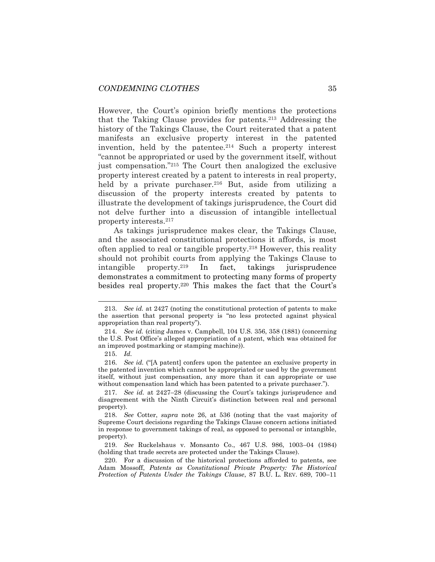However, the Court's opinion briefly mentions the protections that the Taking Clause provides for patents.<sup>213</sup> Addressing the history of the Takings Clause, the Court reiterated that a patent manifests an exclusive property interest in the patented invention, held by the patentee.<sup>214</sup> Such a property interest "cannot be appropriated or used by the government itself, without just compensation."<sup>215</sup> The Court then analogized the exclusive property interest created by a patent to interests in real property, held by a private purchaser.<sup>216</sup> But, aside from utilizing a discussion of the property interests created by patents to illustrate the development of takings jurisprudence, the Court did not delve further into a discussion of intangible intellectual property interests.<sup>217</sup>

<span id="page-35-0"></span>As takings jurisprudence makes clear, the Takings Clause, and the associated constitutional protections it affords, is most often applied to real or tangible property.<sup>218</sup> However, this reality should not prohibit courts from applying the Takings Clause to intangible property.<sup>219</sup> In fact, takings jurisprudence demonstrates a commitment to protecting many forms of property besides real property.<sup>220</sup> This makes the fact that the Court's

<span id="page-35-1"></span><sup>213.</sup> *See id.* at 2427 (noting the constitutional protection of patents to make the assertion that personal property is "no less protected against physical appropriation than real property").

<sup>214.</sup> *See id.* (citing James v. Campbell, 104 U.S. 356, 358 (1881) (concerning the U.S. Post Office's alleged appropriation of a patent, which was obtained for an improved postmarking or stamping machine)).

<sup>215.</sup> *Id.*

<sup>216.</sup> *See id.* ("[A patent] confers upon the patentee an exclusive property in the patented invention which cannot be appropriated or used by the government itself, without just compensation, any more than it can appropriate or use without compensation land which has been patented to a private purchaser.").

<sup>217.</sup> *See id.* at 2427–28 (discussing the Court's takings jurisprudence and disagreement with the Ninth Circuit's distinction between real and personal property).

<sup>218.</sup> *See* Cotter, *supra* note [26,](#page-7-1) at 536 (noting that the vast majority of Supreme Court decisions regarding the Takings Clause concern actions initiated in response to government takings of real, as opposed to personal or intangible, property).

<sup>219.</sup> *See* Ruckelshaus v. Monsanto Co., 467 U.S. 986, 1003–04 (1984) (holding that trade secrets are protected under the Takings Clause).

<sup>220.</sup> For a discussion of the historical protections afforded to patents, see Adam Mossoff, *Patents as Constitutional Private Property: The Historical Protection of Patents Under the Takings Clause*, 87 B.U. L. REV. 689, 700–11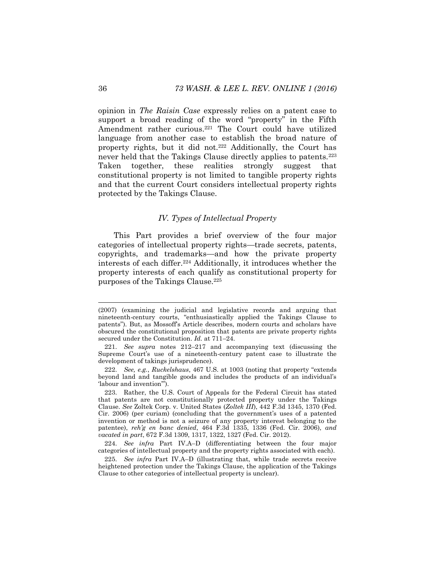opinion in *The Raisin Case* expressly relies on a patent case to support a broad reading of the word "property" in the Fifth Amendment rather curious.<sup>221</sup> The Court could have utilized language from another case to establish the broad nature of property rights, but it did not.<sup>222</sup> Additionally, the Court has never held that the Takings Clause directly applies to patents.<sup>223</sup> Taken together, these realities strongly suggest that constitutional property is not limited to tangible property rights and that the current Court considers intellectual property rights protected by the Takings Clause.

# *IV. Types of Intellectual Property*

This Part provides a brief overview of the four major categories of intellectual property rights—trade secrets, patents, copyrights, and trademarks—and how the private property interests of each differ.<sup>224</sup> Additionally, it introduces whether the property interests of each qualify as constitutional property for purposes of the Takings Clause.<sup>225</sup>

l

<sup>(2007) (</sup>examining the judicial and legislative records and arguing that nineteenth-century courts, "enthusiastically applied the Takings Clause to patents"). But, as Mossoff's Article describes, modern courts and scholars have obscured the constitutional proposition that patents are private property rights secured under the Constitution. *Id.* at 711–24.

<sup>221.</sup> *See supra* notes [212](#page-34-0)–[217](#page-35-0) and accompanying text (discussing the Supreme Court's use of a nineteenth-century patent case to illustrate the development of takings jurisprudence).

<sup>222.</sup> *See, e.g.*, *Ruckelshaus*, 467 U.S. at 1003 (noting that property "extends beyond land and tangible goods and includes the products of an individual's 'labour and invention'").

<sup>223.</sup> Rather, the U.S. Court of Appeals for the Federal Circuit has stated that patents are not constitutionally protected property under the Takings Clause. *See* Zoltek Corp. v. United States (*Zoltek III*), 442 F.3d 1345, 1370 (Fed. Cir. 2006) (per curiam) (concluding that the government's uses of a patented invention or method is not a seizure of any property interest belonging to the patentee), *reh'g en banc denied*, 464 F.3d 1335, 1336 (Fed. Cir. 2006), *and vacated in part*, 672 F.3d 1309, 1317, 1322, 1327 (Fed. Cir. 2012).

<sup>224.</sup> *See infra* Part IV.A–D (differentiating between the four major categories of intellectual property and the property rights associated with each).

<sup>225.</sup> *See infra* Part IV.A–D (illustrating that, while trade secrets receive heightened protection under the Takings Clause, the application of the Takings Clause to other categories of intellectual property is unclear).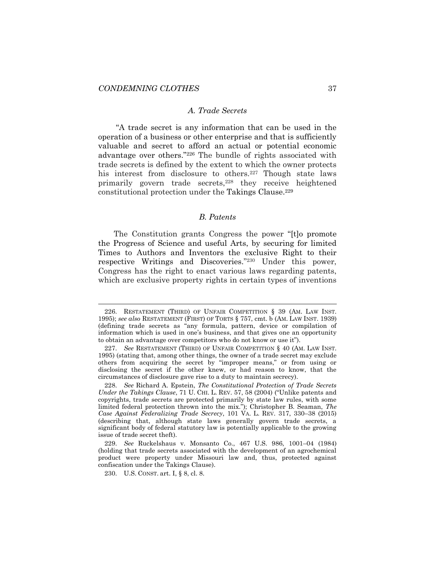#### *A. Trade Secrets*

"A trade secret is any information that can be used in the operation of a business or other enterprise and that is sufficiently valuable and secret to afford an actual or potential economic advantage over others."<sup>226</sup> The bundle of rights associated with trade secrets is defined by the extent to which the owner protects his interest from disclosure to others.<sup>227</sup> Though state laws primarily govern trade secrets,<sup>228</sup> they receive heightened constitutional protection under the Takings Clause.<sup>229</sup>

# <span id="page-37-0"></span>*B. Patents*

The Constitution grants Congress the power "[t]o promote the Progress of Science and useful Arts, by securing for limited Times to Authors and Inventors the exclusive Right to their respective Writings and Discoveries." <sup>230</sup> Under this power, Congress has the right to enact various laws regarding patents, which are exclusive property rights in certain types of inventions

<sup>226.</sup> RESTATEMENT (THIRD) OF UNFAIR COMPETITION § 39 (AM. LAW INST. 1995); *see also* RESTATEMENT (FIRST) OF TORTS § 757, cmt. b (AM. LAW INST. 1939) (defining trade secrets as "any formula, pattern, device or compilation of information which is used in one's business, and that gives one an opportunity to obtain an advantage over competitors who do not know or use it").

<sup>227.</sup> *See* RESTATEMENT (THIRD) OF UNFAIR COMPETITION § 40 (AM. LAW INST. 1995) (stating that, among other things, the owner of a trade secret may exclude others from acquiring the secret by "improper means," or from using or disclosing the secret if the other knew, or had reason to know, that the circumstances of disclosure gave rise to a duty to maintain secrecy).

<sup>228.</sup> *See* Richard A. Epstein, *The Constitutional Protection of Trade Secrets Under the Takings Clause*, 71 U. CHI. L. REV. 57, 58 (2004) ("Unlike patents and copyrights, trade secrets are protected primarily by state law rules, with some limited federal protection thrown into the mix."); Christopher B. Seaman, *The Case Against Federalizing Trade Secrecy*, 101 VA. L. REV. 317, 330–38 (2015) (describing that, although state laws generally govern trade secrets, a significant body of federal statutory law is potentially applicable to the growing issue of trade secret theft).

<sup>229.</sup> *See* Ruckelshaus v. Monsanto Co., 467 U.S. 986, 1001–04 (1984) (holding that trade secrets associated with the development of an agrochemical product were property under Missouri law and, thus, protected against confiscation under the Takings Clause).

<sup>230.</sup> U.S. CONST. art. I, § 8, cl. 8.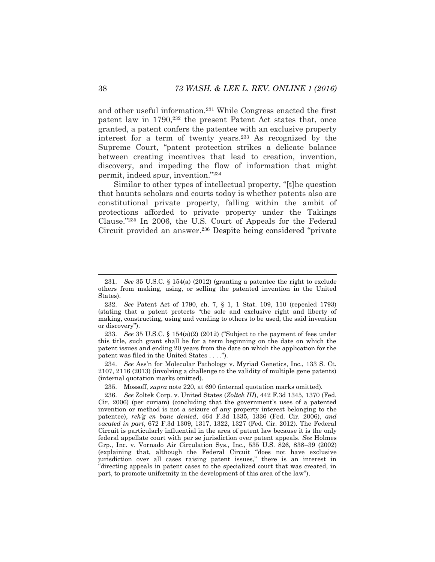and other useful information.<sup>231</sup> While Congress enacted the first patent law in 1790,<sup>232</sup> the present Patent Act states that, once granted, a patent confers the patentee with an exclusive property interest for a term of twenty years.<sup>233</sup> As recognized by the Supreme Court, "patent protection strikes a delicate balance between creating incentives that lead to creation, invention, discovery, and impeding the flow of information that might permit, indeed spur, invention."<sup>234</sup>

Similar to other types of intellectual property, "[t]he question that haunts scholars and courts today is whether patents also are constitutional private property, falling within the ambit of protections afforded to private property under the Takings Clause."<sup>235</sup> In 2006, the U.S. Court of Appeals for the Federal Circuit provided an answer.<sup>236</sup> Despite being considered "private

234. *See* Ass'n for Molecular Pathology v. Myriad Genetics, Inc., 133 S. Ct. 2107, 2116 (2013) (involving a challenge to the validity of multiple gene patents) (internal quotation marks omitted).

<sup>231.</sup> *See* 35 U.S.C. § 154(a) (2012) (granting a patentee the right to exclude others from making, using, or selling the patented invention in the United States).

<sup>232.</sup> *See* Patent Act of 1790, ch. 7, § 1, 1 Stat. 109, 110 (repealed 1793) (stating that a patent protects "the sole and exclusive right and liberty of making, constructing, using and vending to others to be used, the said invention or discovery").

<sup>233.</sup> *See* 35 U.S.C. § 154(a)(2) (2012) ("Subject to the payment of fees under this title, such grant shall be for a term beginning on the date on which the patent issues and ending 20 years from the date on which the application for the patent was filed in the United States . . . .").

<sup>235.</sup> Mossoff, *supra* note [220,](#page-35-1) at 690 (internal quotation marks omitted).

<sup>236.</sup> *See* Zoltek Corp. v. United States (*Zoltek III*), 442 F.3d 1345, 1370 (Fed. Cir. 2006) (per curiam) (concluding that the government's uses of a patented invention or method is not a seizure of any property interest belonging to the patentee), *reh'g en banc denied*, 464 F.3d 1335, 1336 (Fed. Cir. 2006), *and vacated in part*, 672 F.3d 1309, 1317, 1322, 1327 (Fed. Cir. 2012). The Federal Circuit is particularly influential in the area of patent law because it is the only federal appellate court with per se jurisdiction over patent appeals. *See* Holmes Grp., Inc. v. Vornado Air Circulation Sys., Inc., 535 U.S. 826, 838–39 (2002) (explaining that, although the Federal Circuit "does not have exclusive jurisdiction over all cases raising patent issues," there is an interest in "directing appeals in patent cases to the specialized court that was created, in part, to promote uniformity in the development of this area of the law").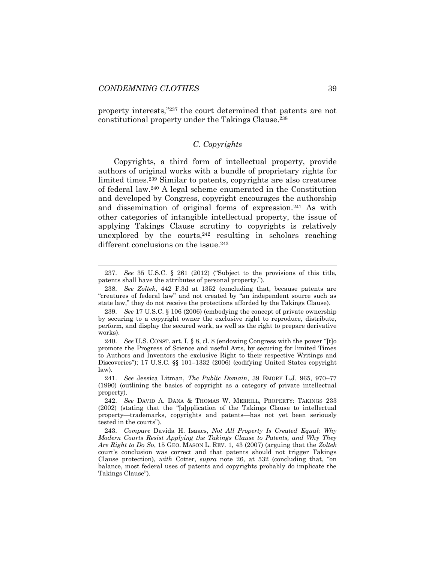property interests,"<sup>237</sup> the court determined that patents are not constitutional property under the Takings Clause.<sup>238</sup>

# <span id="page-39-0"></span>*C. Copyrights*

Copyrights, a third form of intellectual property, provide authors of original works with a bundle of proprietary rights for limited times. <sup>239</sup> Similar to patents, copyrights are also creatures of federal law.<sup>240</sup> A legal scheme enumerated in the Constitution and developed by Congress, copyright encourages the authorship and dissemination of original forms of expression.<sup>241</sup> As with other categories of intangible intellectual property, the issue of applying Takings Clause scrutiny to copyrights is relatively unexplored by the courts,  $242$  resulting in scholars reaching different conclusions on the issue.<sup>243</sup>

<sup>237.</sup> *See* 35 U.S.C. § 261 (2012) ("Subject to the provisions of this title, patents shall have the attributes of personal property.").

<sup>238.</sup> *See Zoltek*, 442 F.3d at 1352 (concluding that, because patents are "creatures of federal law" and not created by "an independent source such as state law," they do not receive the protections afforded by the Takings Clause).

<sup>239.</sup> *See* 17 U.S.C. § 106 (2006) (embodying the concept of private ownership by securing to a copyright owner the exclusive right to reproduce, distribute, perform, and display the secured work, as well as the right to prepare derivative works).

<sup>240.</sup> *See* U.S. CONST. art. I, § 8, cl. 8 (endowing Congress with the power "[t]o promote the Progress of Science and useful Arts, by securing for limited Times to Authors and Inventors the exclusive Right to their respective Writings and Discoveries"); 17 U.S.C. §§ 101–1332 (2006) (codifying United States copyright law).

<sup>241.</sup> *See* Jessica Litman, *The Public Domain*, 39 EMORY L.J. 965, 970–77 (1990) (outlining the basics of copyright as a category of private intellectual property).

<sup>242.</sup> *See* DAVID A. DANA & THOMAS W. MERRILL, PROPERTY: TAKINGS 233 (2002) (stating that the "[a]pplication of the Takings Clause to intellectual property—trademarks, copyrights and patents—has not yet been seriously tested in the courts").

<sup>243.</sup> *Compare* Davida H. Isaacs, *Not All Property Is Created Equal: Why Modern Courts Resist Applying the Takings Clause to Patents, and Why They Are Right to Do So*, 15 GEO. MASON L. REV. 1, 43 (2007) (arguing that the *Zoltek* court's conclusion was correct and that patents should not trigger Takings Clause protection), *with* Cotter, *supra* note [26,](#page-7-1) at 532 (concluding that, "on balance, most federal uses of patents and copyrights probably do implicate the Takings Clause").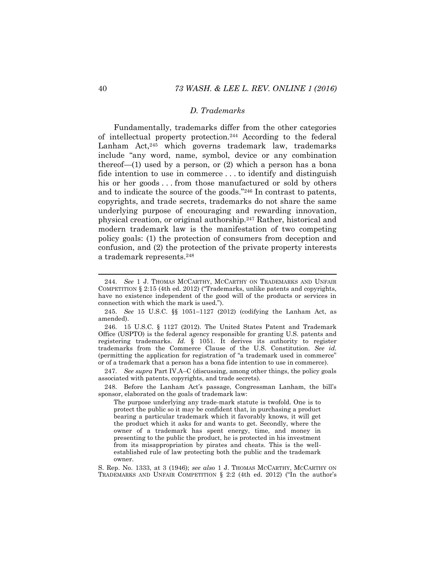# *D. Trademarks*

Fundamentally, trademarks differ from the other categories of intellectual property protection.<sup>244</sup> According to the federal Lanham Act,<sup>245</sup> which governs trademark law, trademarks include "any word, name, symbol, device or any combination thereof— $(1)$  used by a person, or  $(2)$  which a person has a bona fide intention to use in commerce . . . to identify and distinguish his or her goods . . . from those manufactured or sold by others and to indicate the source of the goods."<sup>246</sup> In contrast to patents, copyrights, and trade secrets, trademarks do not share the same underlying purpose of encouraging and rewarding innovation, physical creation, or original authorship.<sup>247</sup> Rather, historical and modern trademark law is the manifestation of two competing policy goals: (1) the protection of consumers from deception and confusion, and (2) the protection of the private property interests a trademark represents.<sup>248</sup>

247. *See supra* Part IV.A–C (discussing, among other things, the policy goals associated with patents, copyrights, and trade secrets).

<span id="page-40-0"></span><sup>244.</sup> *See* 1 J. THOMAS MCCARTHY, MCCARTHY ON TRADEMARKS AND UNFAIR COMPETITION  $\S 2:15$  (4th ed. 2012) ("Trademarks, unlike patents and copyrights, have no existence independent of the good will of the products or services in connection with which the mark is used.").

<sup>245.</sup> *See* 15 U.S.C. §§ 1051–1127 (2012) (codifying the Lanham Act, as amended).

<sup>246.</sup> 15 U.S.C. § 1127 (2012). The United States Patent and Trademark Office (USPTO) is the federal agency responsible for granting U.S. patents and registering trademarks. *Id.* § 1051. It derives its authority to register trademarks from the Commerce Clause of the U.S. Constitution. *See id.* (permitting the application for registration of "a trademark used in commerce" or of a trademark that a person has a bona fide intention to use in commerce).

<sup>248.</sup> Before the Lanham Act's passage, Congressman Lanham, the bill's sponsor, elaborated on the goals of trademark law:

The purpose underlying any trade-mark statute is twofold. One is to protect the public so it may be confident that, in purchasing a product bearing a particular trademark which it favorably knows, it will get the product which it asks for and wants to get. Secondly, where the owner of a trademark has spent energy, time, and money in presenting to the public the product, he is protected in his investment from its misappropriation by pirates and cheats. This is the wellestablished rule of law protecting both the public and the trademark owner.

S. Rep. No. 1333, at 3 (1946); *see also* 1 J. THOMAS MCCARTHY, MCCARTHY ON TRADEMARKS AND UNFAIR COMPETITION § 2:2 (4th ed. 2012) ("In the author's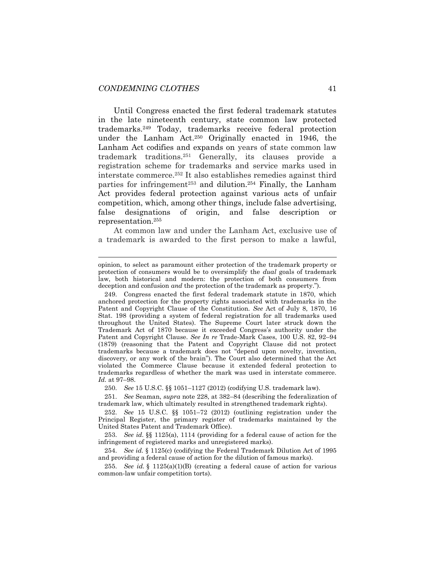<span id="page-41-0"></span>Until Congress enacted the first federal trademark statutes in the late nineteenth century, state common law protected trademarks.<sup>249</sup> Today, trademarks receive federal protection under the Lanham Act.<sup>250</sup> Originally enacted in 1946, the Lanham Act codifies and expands on years of state common law trademark traditions.<sup>251</sup> Generally, its clauses provide a registration scheme for trademarks and service marks used in interstate commerce.<sup>252</sup> It also establishes remedies against third parties for infringement<sup>253</sup> and dilution.<sup>254</sup> Finally, the Lanham Act provides federal protection against various acts of unfair competition, which, among other things, include false advertising, false designations of origin, and false description or representation. 255

At common law and under the Lanham Act, exclusive use of a trademark is awarded to the first person to make a lawful,

250. *See* 15 U.S.C. §§ 1051–1127 (2012) (codifying U.S. trademark law).

251. *See* Seaman, *supra* note [228,](#page-37-0) at 382–84 (describing the federalization of trademark law, which ultimately resulted in strengthened trademark rights).

252. *See* 15 U.S.C. §§ 1051–72 (2012) (outlining registration under the Principal Register, the primary register of trademarks maintained by the United States Patent and Trademark Office).

253. *See id.* §§ 1125(a), 1114 (providing for a federal cause of action for the infringement of registered marks and unregistered marks).

254. *See id.* § 1125(c) (codifying the Federal Trademark Dilution Act of 1995 and providing a federal cause of action for the dilution of famous marks).

255. *See id.* § 1125(a)(1)(B) (creating a federal cause of action for various common-law unfair competition torts).

opinion, to select as paramount either protection of the trademark property or protection of consumers would be to oversimplify the *dual* goals of trademark law, both historical and modern: the protection of both consumers from deception and confusion *and* the protection of the trademark as property.").

<sup>249.</sup> Congress enacted the first federal trademark statute in 1870, which anchored protection for the property rights associated with trademarks in the Patent and Copyright Clause of the Constitution. *See* Act of July 8, 1870, 16 Stat. 198 (providing a system of federal registration for all trademarks used throughout the United States). The Supreme Court later struck down the Trademark Act of 1870 because it exceeded Congress's authority under the Patent and Copyright Clause. *See In re* Trade-Mark Cases, 100 U.S. 82, 92–94 (1879) (reasoning that the Patent and Copyright Clause did not protect trademarks because a trademark does not "depend upon novelty, invention, discovery, or any work of the brain"). The Court also determined that the Act violated the Commerce Clause because it extended federal protection to trademarks regardless of whether the mark was used in interstate commerce. *Id.* at 97–98.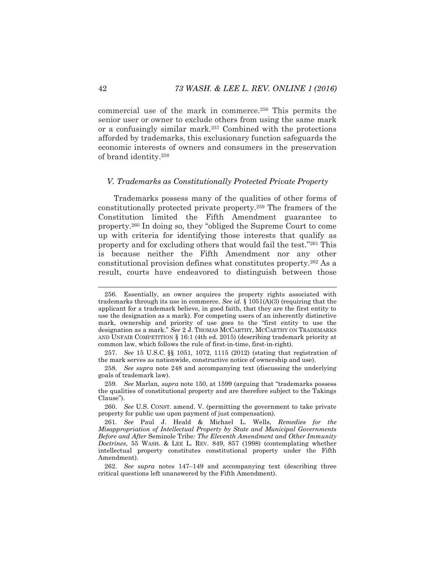commercial use of the mark in commerce.<sup>256</sup> This permits the senior user or owner to exclude others from using the same mark or a confusingly similar mark.<sup>257</sup> Combined with the protections afforded by trademarks, this exclusionary function safeguards the economic interests of owners and consumers in the preservation of brand identity.<sup>258</sup>

#### *V. Trademarks as Constitutionally Protected Private Property*

Trademarks possess many of the qualities of other forms of constitutionally protected private property.<sup>259</sup> The framers of the Constitution limited the Fifth Amendment guarantee to property.<sup>260</sup> In doing so, they "obliged the Supreme Court to come up with criteria for identifying those interests that qualify as property and for excluding others that would fail the test."<sup>261</sup> This is because neither the Fifth Amendment nor any other constitutional provision defines what constitutes property.<sup>262</sup> As a result, courts have endeavored to distinguish between those

<sup>256.</sup> Essentially, an owner acquires the property rights associated with trademarks through its use in commerce. *See id.* § 1051(A)(3) (requiring that the applicant for a trademark believe, in good faith, that they are the first entity to use the designation as a mark). For competing users of an inherently distinctive mark, ownership and priority of use goes to the "first entity to use the designation as a mark." *See* 2 J. THOMAS MCCARTHY, MCCARTHY ON TRADEMARKS AND UNFAIR COMPETITION § 16:1 (4th ed. 2015) (describing trademark priority at common law, which follows the rule of first-in-time, first-in-right).

<sup>257.</sup> *See* 15 U.S.C. §§ 1051, 1072, 1115 (2012) (stating that registration of the mark serves as nationwide, constructive notice of ownership and use).

<sup>258.</sup> *See supra* note [248](#page-40-0) and accompanying text (discussing the underlying goals of trademark law).

<sup>259.</sup> *See* Marlan, *supra* not[e 150](#page-26-0), at 1599 (arguing that "trademarks possess the qualities of constitutional property and are therefore subject to the Takings Clause").

<sup>260.</sup> *See* U.S. CONST. amend. V. (permitting the government to take private property for public use upon payment of just compensation).

<sup>261.</sup> *See* Paul J. Heald & Michael L. Wells, *Remedies for the Misappropriation of Intellectual Property by State and Municipal Governments Before and After* Seminole Tribe*: The Eleventh Amendment and Other Immunity Doctrines*, 55 WASH. & LEE L. REV. 849, 857 (1998) (contemplating whether intellectual property constitutes constitutional property under the Fifth Amendment).

<sup>262.</sup> *See supra* notes [147](#page-26-1)–[149](#page-26-2) and accompanying text (describing three critical questions left unanswered by the Fifth Amendment).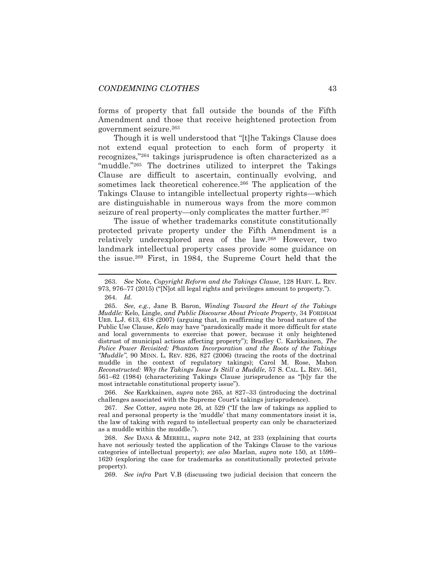forms of property that fall outside the bounds of the Fifth Amendment and those that receive heightened protection from government seizure.<sup>263</sup>

<span id="page-43-0"></span>Though it is well understood that "[t]he Takings Clause does not extend equal protection to each form of property it recognizes,"<sup>264</sup> takings jurisprudence is often characterized as a "muddle."<sup>265</sup> The doctrines utilized to interpret the Takings Clause are difficult to ascertain, continually evolving, and sometimes lack theoretical coherence.<sup>266</sup> The application of the Takings Clause to intangible intellectual property rights—which are distinguishable in numerous ways from the more common seizure of real property—only complicates the matter further.<sup>267</sup>

The issue of whether trademarks constitute constitutionally protected private property under the Fifth Amendment is a relatively underexplored area of the law.<sup>268</sup> However, two landmark intellectual property cases provide some guidance on the issue.<sup>269</sup> First, in 1984, the Supreme Court held that the

266. *See* Karkkainen, *supra* note [265,](#page-43-0) at 827–33 (introducing the doctrinal challenges associated with the Supreme Court's takings jurisprudence).

267. *See* Cotter, *supra* note [26](#page-7-1), at 529 ("If the law of takings as applied to real and personal property is the 'muddle' that many commentators insist it is, the law of taking with regard to intellectual property can only be characterized as a muddle within the muddle.").

268. *See* DANA & MERRILL, *supra* note [242,](#page-39-0) at 233 (explaining that courts have not seriously tested the application of the Takings Clause to the various categories of intellectual property); *see also* Marlan, *supra* note [150,](#page-26-0) at 1599– 1620 (exploring the case for trademarks as constitutionally protected private property).

269. *See infra* Part V.B (discussing two judicial decision that concern the

<sup>263.</sup> *See* Note, *Copyright Reform and the Takings Clause*, 128 HARV. L. REV. 973, 976–77 (2015) ("[N]ot all legal rights and privileges amount to property."). 264. *Id.*

<sup>265.</sup> *See, e.g.*, Jane B. Baron, *Winding Toward the Heart of the Takings Muddle:* Kelo*,* Lingle*, and Public Discourse About Private Property*, 34 FORDHAM URB. L.J. 613, 618 (2007) (arguing that, in reaffirming the broad nature of the Public Use Clause, *Kelo* may have "paradoxically made it more difficult for state and local governments to exercise that power, because it only heightened distrust of municipal actions affecting property"); Bradley C. Karkkainen, *The Police Power Revisited: Phantom Incorporation and the Roots of the Takings "Muddle"*, 90 MINN. L. REV. 826, 827 (2006) (tracing the roots of the doctrinal muddle in the context of regulatory takings); Carol M. Rose, Mahon *Reconstructed: Why the Takings Issue Is Still a Muddle*, 57 S. CAL. L. REV. 561, 561–62 (1984) (characterizing Takings Clause jurisprudence as "[b]y far the most intractable constitutional property issue").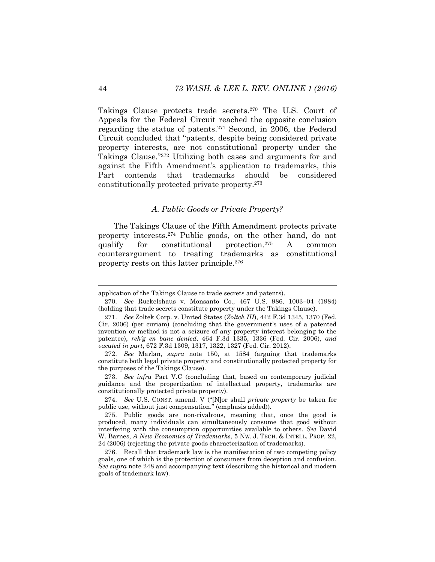Takings Clause protects trade secrets.<sup>270</sup> The U.S. Court of Appeals for the Federal Circuit reached the opposite conclusion regarding the status of patents.<sup>271</sup> Second, in 2006, the Federal Circuit concluded that "patents, despite being considered private property interests, are not constitutional property under the Takings Clause."<sup>272</sup> Utilizing both cases and arguments for and against the Fifth Amendment's application to trademarks, this Part contends that trademarks should be considered constitutionally protected private property.<sup>273</sup>

# *A. Public Goods or Private Property?*

The Takings Clause of the Fifth Amendment protects private property interests.<sup>274</sup> Public goods, on the other hand, do not qualify for constitutional protection.<sup>275</sup> A common counterargument to treating trademarks as constitutional property rests on this latter principle.<sup>276</sup>

l

application of the Takings Clause to trade secrets and patents).

<sup>270.</sup> *See* Ruckelshaus v. Monsanto Co., 467 U.S. 986, 1003–04 (1984) (holding that trade secrets constitute property under the Takings Clause).

<sup>271.</sup> *See* Zoltek Corp. v. United States (*Zoltek III*), 442 F.3d 1345, 1370 (Fed. Cir. 2006) (per curiam) (concluding that the government's uses of a patented invention or method is not a seizure of any property interest belonging to the patentee), *reh'g en banc denied*, 464 F.3d 1335, 1336 (Fed. Cir. 2006), *and vacated in part*, 672 F.3d 1309, 1317, 1322, 1327 (Fed. Cir. 2012).

<sup>272.</sup> *See* Marlan, *supra* note [150,](#page-26-0) at 1584 (arguing that trademarks constitute both legal private property and constitutionally protected property for the purposes of the Takings Clause).

<sup>273.</sup> *See infra* Part V.C (concluding that, based on contemporary judicial guidance and the propertization of intellectual property, trademarks are constitutionally protected private property).

<sup>274.</sup> *See* U.S. CONST. amend. V ("[N]or shall *private property* be taken for public use, without just compensation." (emphasis added)).

<sup>275.</sup> Public goods are non-rivalrous, meaning that, once the good is produced, many individuals can simultaneously consume that good without interfering with the consumption opportunities available to others. *See* David W. Barnes, *A New Economics of Trademarks*, 5 NW. J. TECH. & INTELL. PROP. 22, 24 (2006) (rejecting the private goods characterization of trademarks).

<sup>276.</sup> Recall that trademark law is the manifestation of two competing policy goals, one of which is the protection of consumers from deception and confusion. *See supra* not[e 248](#page-40-0) and accompanying text (describing the historical and modern goals of trademark law).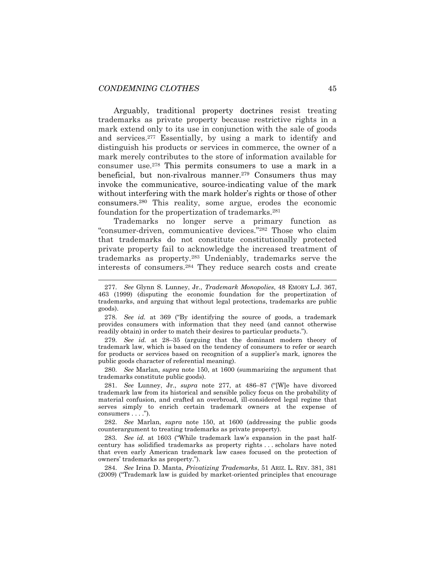<span id="page-45-0"></span>Arguably, traditional property doctrines resist treating trademarks as private property because restrictive rights in a mark extend only to its use in conjunction with the sale of goods and services.<sup>277</sup> Essentially, by using a mark to identify and distinguish his products or services in commerce, the owner of a mark merely contributes to the store of information available for consumer use.<sup>278</sup> This permits consumers to use a mark in a beneficial, but non-rivalrous manner.<sup>279</sup> Consumers thus may invoke the communicative, source-indicating value of the mark without interfering with the mark holder's rights or those of other consumers.<sup>280</sup> This reality, some argue, erodes the economic foundation for the propertization of trademarks.<sup>281</sup>

Trademarks no longer serve a primary function as "consumer-driven, communicative devices."<sup>282</sup> Those who claim that trademarks do not constitute constitutionally protected private property fail to acknowledge the increased treatment of trademarks as property.<sup>283</sup> Undeniably, trademarks serve the interests of consumers.<sup>284</sup> They reduce search costs and create

278. *See id.* at 369 ("By identifying the source of goods, a trademark provides consumers with information that they need (and cannot otherwise readily obtain) in order to match their desires to particular products.").

279. *See id.* at 28–35 (arguing that the dominant modern theory of trademark law, which is based on the tendency of consumers to refer or search for products or services based on recognition of a supplier's mark, ignores the public goods character of referential meaning).

280. *See* Marlan, *supra* note [150,](#page-26-0) at 1600 (summarizing the argument that trademarks constitute public goods).

281. *See* Lunney, Jr., *supra* note [277,](#page-45-0) at 486–87 ("[W]e have divorced trademark law from its historical and sensible policy focus on the probability of material confusion, and crafted an overbroad, ill-considered legal regime that serves simply to enrich certain trademark owners at the expense of consumers . . . .").

282. *See* Marlan, *supra* note [150,](#page-26-0) at 1600 (addressing the public goods counterargument to treating trademarks as private property).

283. *See id.* at 1603 ("While trademark law's expansion in the past halfcentury has solidified trademarks as property rights . . . scholars have noted that even early American trademark law cases focused on the protection of owners' trademarks as property.").

284. *See* Irina D. Manta, *Privatizing Trademarks*, 51 ARIZ. L. REV. 381, 381 (2009) ("Trademark law is guided by market-oriented principles that encourage

<sup>277.</sup> *See* Glynn S. Lunney, Jr., *Trademark Monopolies*, 48 EMORY L.J. 367, 463 (1999) (disputing the economic foundation for the propertization of trademarks, and arguing that without legal protections, trademarks are public goods).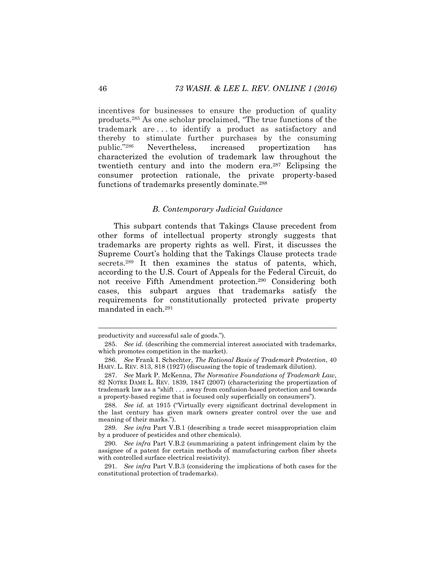incentives for businesses to ensure the production of quality products.<sup>285</sup> As one scholar proclaimed, "The true functions of the trademark are . . . to identify a product as satisfactory and thereby to stimulate further purchases by the consuming public."<sup>286</sup> Nevertheless, increased propertization has characterized the evolution of trademark law throughout the twentieth century and into the modern era.<sup>287</sup> Eclipsing the consumer protection rationale, the private property-based functions of trademarks presently dominate.<sup>288</sup>

# *B. Contemporary Judicial Guidance*

This subpart contends that Takings Clause precedent from other forms of intellectual property strongly suggests that trademarks are property rights as well. First, it discusses the Supreme Court's holding that the Takings Clause protects trade secrets.<sup>289</sup> It then examines the status of patents, which, according to the U.S. Court of Appeals for the Federal Circuit, do not receive Fifth Amendment protection.<sup>290</sup> Considering both cases, this subpart argues that trademarks satisfy the requirements for constitutionally protected private property mandated in each.<sup>291</sup>

l

productivity and successful sale of goods.").

<sup>285.</sup> *See id.* (describing the commercial interest associated with trademarks, which promotes competition in the market).

<sup>286.</sup> *See* Frank I. Schechter, *The Rational Basis of Trademark Protection*, 40 HARV. L. REV. 813, 818 (1927) (discussing the topic of trademark dilution).

<sup>287.</sup> *See* Mark P. McKenna, *The Normative Foundations of Trademark Law*, 82 NOTRE DAME L. REV. 1839, 1847 (2007) (characterizing the propertization of trademark law as a "shift . . . away from confusion-based protection and towards a property-based regime that is focused only superficially on consumers").

<sup>288.</sup> *See id.* at 1915 ("Virtually every significant doctrinal development in the last century has given mark owners greater control over the use and meaning of their marks.").

<sup>289.</sup> *See infra* Part V.B.1 (describing a trade secret misappropriation claim by a producer of pesticides and other chemicals).

<sup>290.</sup> *See infra* Part V.B.2 (summarizing a patent infringement claim by the assignee of a patent for certain methods of manufacturing carbon fiber sheets with controlled surface electrical resistivity).

<sup>291.</sup> *See infra* Part V.B.3 (considering the implications of both cases for the constitutional protection of trademarks).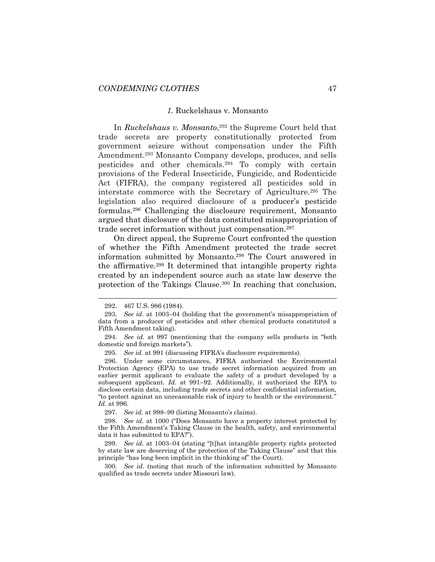#### *1.* Ruckelshaus v. Monsanto

In *Ruckelshaus v. Monsanto*, <sup>292</sup> the Supreme Court held that trade secrets are property constitutionally protected from government seizure without compensation under the Fifth Amendment.<sup>293</sup> Monsanto Company develops, produces, and sells pesticides and other chemicals.<sup>294</sup> To comply with certain provisions of the Federal Insecticide, Fungicide, and Rodenticide Act (FIFRA), the company registered all pesticides sold in interstate commerce with the Secretary of Agriculture.<sup>295</sup> The legislation also required disclosure of a producer's pesticide formulas.<sup>296</sup> Challenging the disclosure requirement, Monsanto argued that disclosure of the data constituted misappropriation of trade secret information without just compensation.<sup>297</sup>

On direct appeal, the Supreme Court confronted the question of whether the Fifth Amendment protected the trade secret information submitted by Monsanto.<sup>298</sup> The Court answered in the affirmative.<sup>299</sup> It determined that intangible property rights created by an independent source such as state law deserve the protection of the Takings Clause.<sup>300</sup> In reaching that conclusion,

l

297. *See id.* at 998–99 (listing Monsanto's claims).

298. *See id.* at 1000 ("Does Monsanto have a property interest protected by the Fifth Amendment's Taking Clause in the health, safety, and environmental data it has submitted to EPA?").

299. *See id.* at 1003–04 (stating "[t]hat intangible property rights protected by state law are deserving of the protection of the Taking Clause" and that this principle "has long been implicit in the thinking of" the Court).

300. *See id.* (noting that much of the information submitted by Monsanto qualified as trade secrets under Missouri law).

<sup>292.</sup> 467 U.S. 986 (1984).

<sup>293.</sup> *See id.* at 1003–04 (holding that the government's misappropriation of data from a producer of pesticides and other chemical products constituted a Fifth Amendment taking).

<sup>294.</sup> *See id.* at 997 (mentioning that the company sells products in "both domestic and foreign markets").

<sup>295.</sup> *See id.* at 991 (discussing FIFRA's disclosure requirements).

<sup>296.</sup> Under some circumstances, FIFRA authorized the Environmental Protection Agency (EPA) to use trade secret information acquired from an earlier permit applicant to evaluate the safety of a product developed by a subsequent applicant. *Id.* at 991–92. Additionally, it authorized the EPA to disclose certain data, including trade secrets and other confidential information, "to protect against an unreasonable risk of injury to health or the environment." *Id.* at 996.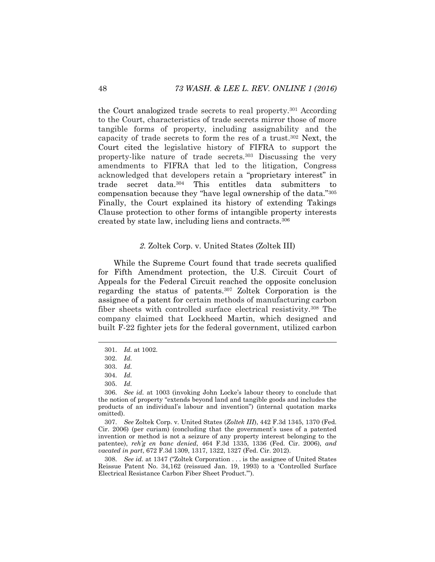the Court analogized trade secrets to real property.<sup>301</sup> According to the Court, characteristics of trade secrets mirror those of more tangible forms of property, including assignability and the capacity of trade secrets to form the res of a trust. <sup>302</sup> Next, the Court cited the legislative history of FIFRA to support the property-like nature of trade secrets.<sup>303</sup> Discussing the very amendments to FIFRA that led to the litigation, Congress acknowledged that developers retain a "proprietary interest" in trade secret data.<sup>304</sup> This entitles data submitters to compensation because they "have legal ownership of the data."<sup>305</sup> Finally, the Court explained its history of extending Takings Clause protection to other forms of intangible property interests created by state law, including liens and contracts.<sup>306</sup>

### *2.* Zoltek Corp. v. United States (Zoltek III)

While the Supreme Court found that trade secrets qualified for Fifth Amendment protection, the U.S. Circuit Court of Appeals for the Federal Circuit reached the opposite conclusion regarding the status of patents.<sup>307</sup> Zoltek Corporation is the assignee of a patent for certain methods of manufacturing carbon fiber sheets with controlled surface electrical resistivity.<sup>308</sup> The company claimed that Lockheed Martin, which designed and built F-22 fighter jets for the federal government, utilized carbon

307. *See* Zoltek Corp. v. United States (*Zoltek III*), 442 F.3d 1345, 1370 (Fed. Cir. 2006) (per curiam) (concluding that the government's uses of a patented invention or method is not a seizure of any property interest belonging to the patentee), *reh'g en banc denied*, 464 F.3d 1335, 1336 (Fed. Cir. 2006), *and vacated in part*, 672 F.3d 1309, 1317, 1322, 1327 (Fed. Cir. 2012).

308. *See id.* at 1347 ("Zoltek Corporation . . . is the assignee of United States Reissue Patent No. 34,162 (reissued Jan. 19, 1993) to a 'Controlled Surface Electrical Resistance Carbon Fiber Sheet Product.'").

<sup>301.</sup> *Id.* at 1002.

<sup>302.</sup> *Id.*

<sup>303.</sup> *Id.*

<sup>304.</sup> *Id.*

<sup>305.</sup> *Id.*

<sup>306.</sup> *See id.* at 1003 (invoking John Locke's labour theory to conclude that the notion of property "extends beyond land and tangible goods and includes the products of an individual's labour and invention") (internal quotation marks omitted).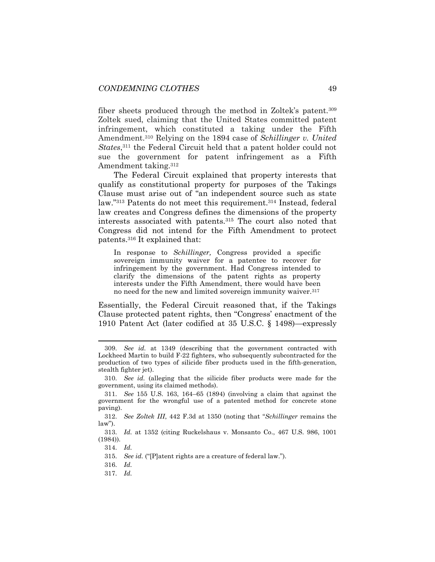fiber sheets produced through the method in Zoltek's patent.<sup>309</sup> Zoltek sued, claiming that the United States committed patent infringement, which constituted a taking under the Fifth Amendment.<sup>310</sup> Relying on the 1894 case of *Schillinger v. United States*, <sup>311</sup> the Federal Circuit held that a patent holder could not sue the government for patent infringement as a Fifth Amendment taking.<sup>312</sup>

The Federal Circuit explained that property interests that qualify as constitutional property for purposes of the Takings Clause must arise out of "an independent source such as state law."<sup>313</sup> Patents do not meet this requirement.<sup>314</sup> Instead, federal law creates and Congress defines the dimensions of the property interests associated with patents.<sup>315</sup> The court also noted that Congress did not intend for the Fifth Amendment to protect patents.<sup>316</sup> It explained that:

In response to *Schillinger,* Congress provided a specific sovereign immunity waiver for a patentee to recover for infringement by the government. Had Congress intended to clarify the dimensions of the patent rights as property interests under the Fifth Amendment, there would have been no need for the new and limited sovereign immunity waiver.<sup>317</sup>

Essentially, the Federal Circuit reasoned that, if the Takings Clause protected patent rights, then "Congress' enactment of the 1910 Patent Act (later codified at 35 U.S.C. § 1498)—expressly

l

315. *See id.* ("[P]atent rights are a creature of federal law.").

316. *Id.*

317. *Id.*

<sup>309.</sup> *See id.* at 1349 (describing that the government contracted with Lockheed Martin to build F-22 fighters, who subsequently subcontracted for the production of two types of silicide fiber products used in the fifth-generation, stealth fighter jet).

<sup>310.</sup> *See id.* (alleging that the silicide fiber products were made for the government, using its claimed methods).

<sup>311.</sup> *See* 155 U.S. 163, 164–65 (1894) (involving a claim that against the government for the wrongful use of a patented method for concrete stone paving).

<sup>312.</sup> *See Zoltek III*, 442 F.3d at 1350 (noting that "*Schillinger* remains the law").

<sup>313.</sup> *Id.* at 1352 (citing Ruckelshaus v. Monsanto Co., 467 U.S. 986, 1001 (1984)).

<sup>314.</sup> *Id.*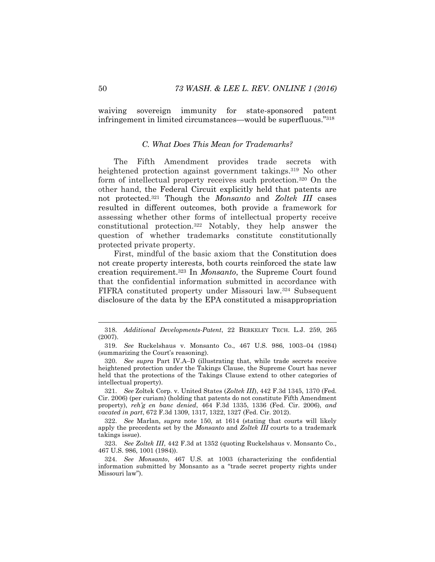waiving sovereign immunity for state-sponsored patent infringement in limited circumstances—would be superfluous."<sup>318</sup>

#### *C. What Does This Mean for Trademarks?*

The Fifth Amendment provides trade secrets with heightened protection against government takings.<sup>319</sup> No other form of intellectual property receives such protection.<sup>320</sup> On the other hand, the Federal Circuit explicitly held that patents are not protected.<sup>321</sup> Though the *Monsanto* and *Zoltek III* cases resulted in different outcomes, both provide a framework for assessing whether other forms of intellectual property receive constitutional protection.<sup>322</sup> Notably, they help answer the question of whether trademarks constitute constitutionally protected private property.

First, mindful of the basic axiom that the Constitution does not create property interests, both courts reinforced the state law creation requirement.<sup>323</sup> In *Monsanto*, the Supreme Court found that the confidential information submitted in accordance with FIFRA constituted property under Missouri law.<sup>324</sup> Subsequent disclosure of the data by the EPA constituted a misappropriation

<sup>318.</sup> *Additional Developments-Patent*, 22 BERKELEY TECH. L.J. 259, 265 (2007).

<sup>319.</sup> *See* Ruckelshaus v. Monsanto Co., 467 U.S. 986, 1003–04 (1984) (summarizing the Court's reasoning).

<sup>320.</sup> *See supra* Part IV.A–D (illustrating that, while trade secrets receive heightened protection under the Takings Clause, the Supreme Court has never held that the protections of the Takings Clause extend to other categories of intellectual property).

<sup>321.</sup> *See* Zoltek Corp. v. United States (*Zoltek III*), 442 F.3d 1345, 1370 (Fed. Cir. 2006) (per curiam) (holding that patents do not constitute Fifth Amendment property), *reh'g en banc denied*, 464 F.3d 1335, 1336 (Fed. Cir. 2006), *and vacated in part*, 672 F.3d 1309, 1317, 1322, 1327 (Fed. Cir. 2012).

<sup>322.</sup> *See* Marlan, *supra* note [150,](#page-26-0) at 1614 (stating that courts will likely apply the precedents set by the *Monsanto* and *Zoltek III* courts to a trademark takings issue).

<sup>323.</sup> *See Zoltek III*, 442 F.3d at 1352 (quoting Ruckelshaus v. Monsanto Co., 467 U.S. 986, 1001 (1984)).

<sup>324.</sup> *See Monsanto*, 467 U.S. at 1003 (characterizing the confidential information submitted by Monsanto as a "trade secret property rights under Missouri law").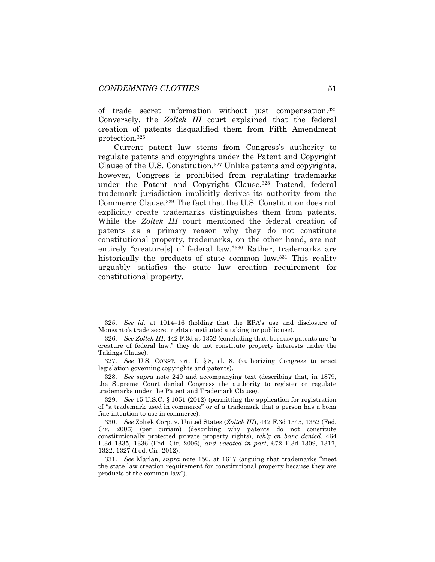l

of trade secret information without just compensation.<sup>325</sup> Conversely, the *Zoltek III* court explained that the federal creation of patents disqualified them from Fifth Amendment protection.<sup>326</sup>

Current patent law stems from Congress's authority to regulate patents and copyrights under the Patent and Copyright Clause of the U.S. Constitution.<sup>327</sup> Unlike patents and copyrights, however, Congress is prohibited from regulating trademarks under the Patent and Copyright Clause.<sup>328</sup> Instead, federal trademark jurisdiction implicitly derives its authority from the Commerce Clause.<sup>329</sup> The fact that the U.S. Constitution does not explicitly create trademarks distinguishes them from patents. While the *Zoltek III* court mentioned the federal creation of patents as a primary reason why they do not constitute constitutional property, trademarks, on the other hand, are not entirely "creature[s] of federal law."<sup>330</sup> Rather, trademarks are historically the products of state common law.<sup>331</sup> This reality arguably satisfies the state law creation requirement for constitutional property.

<sup>325.</sup> *See id.* at 1014–16 (holding that the EPA's use and disclosure of Monsanto's trade secret rights constituted a taking for public use).

<sup>326.</sup> *See Zoltek III*, 442 F.3d at 1352 (concluding that, because patents are "a creature of federal law," they do not constitute property interests under the Takings Clause).

<sup>327.</sup> *See* U.S. CONST. art. I, § 8, cl. 8. (authorizing Congress to enact legislation governing copyrights and patents).

<sup>328.</sup> *See supra* note [249](#page-41-0) and accompanying text (describing that, in 1879, the Supreme Court denied Congress the authority to register or regulate trademarks under the Patent and Trademark Clause).

<sup>329.</sup> *See* 15 U.S.C. § 1051 (2012) (permitting the application for registration of "a trademark used in commerce" or of a trademark that a person has a bona fide intention to use in commerce).

<sup>330.</sup> *See* Zoltek Corp. v. United States (*Zoltek III*), 442 F.3d 1345, 1352 (Fed. Cir. 2006) (per curiam) (describing why patents do not constitute constitutionally protected private property rights), *reh'g en banc denied*, 464 F.3d 1335, 1336 (Fed. Cir. 2006), *and vacated in part*, 672 F.3d 1309, 1317, 1322, 1327 (Fed. Cir. 2012).

<sup>331.</sup> *See* Marlan, *supra* note [150](#page-26-0), at 1617 (arguing that trademarks "meet the state law creation requirement for constitutional property because they are products of the common law").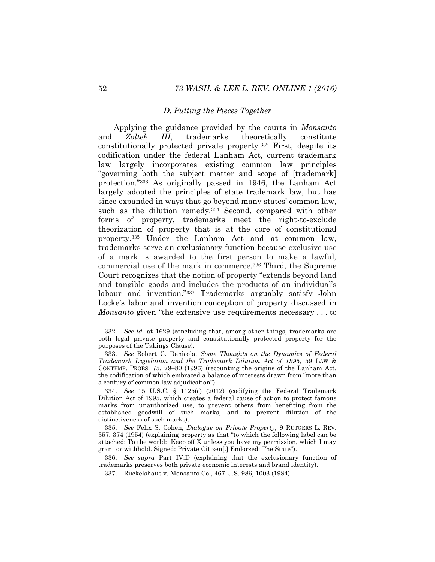#### *D. Putting the Pieces Together*

Applying the guidance provided by the courts in *Monsanto*  and *Zoltek III*, trademarks theoretically constitute constitutionally protected private property.<sup>332</sup> First, despite its codification under the federal Lanham Act, current trademark law largely incorporates existing common law principles "governing both the subject matter and scope of [trademark] protection."<sup>333</sup> As originally passed in 1946, the Lanham Act largely adopted the principles of state trademark law, but has since expanded in ways that go beyond many states' common law, such as the dilution remedy.<sup>334</sup> Second, compared with other forms of property, trademarks meet the right-to-exclude theorization of property that is at the core of constitutional property.<sup>335</sup> Under the Lanham Act and at common law, trademarks serve an exclusionary function because exclusive use of a mark is awarded to the first person to make a lawful, commercial use of the mark in commerce.<sup>336</sup> Third, the Supreme Court recognizes that the notion of property "extends beyond land and tangible goods and includes the products of an individual's labour and invention."<sup>337</sup> Trademarks arguably satisfy John Locke's labor and invention conception of property discussed in *Monsanto* given "the extensive use requirements necessary . . . to

335. *See* Felix S. Cohen, *Dialogue on Private Property*, 9 RUTGERS L. REV. 357, 374 (1954) (explaining property as that "to which the following label can be attached: To the world: Keep off X unless you have my permission, which I may grant or withhold. Signed: Private Citizen[.] Endorsed: The State").

336. *See supra* Part IV.D (explaining that the exclusionary function of trademarks preserves both private economic interests and brand identity).

337. Ruckelshaus v. Monsanto Co., 467 U.S. 986, 1003 (1984).

l

<sup>332.</sup> *See id.* at 1629 (concluding that, among other things, trademarks are both legal private property and constitutionally protected property for the purposes of the Takings Clause).

<sup>333.</sup> *See* Robert C. Denicola, *Some Thoughts on the Dynamics of Federal Trademark Legislation and the Trademark Dilution Act of 1995*, 59 LAW & CONTEMP. PROBS. 75, 79–80 (1996) (recounting the origins of the Lanham Act, the codification of which embraced a balance of interests drawn from "more than a century of common law adjudication").

<sup>334.</sup> *See* 15 U.S.C. § 1125(c) (2012) (codifying the Federal Trademark Dilution Act of 1995, which creates a federal cause of action to protect famous marks from unauthorized use, to prevent others from benefiting from the established goodwill of such marks, and to prevent dilution of the distinctiveness of such marks).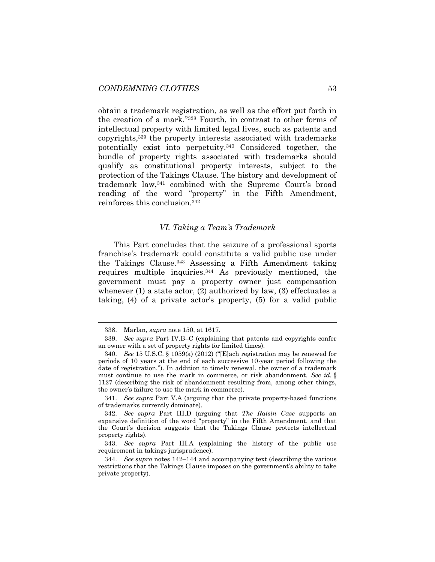obtain a trademark registration, as well as the effort put forth in the creation of a mark."<sup>338</sup> Fourth, in contrast to other forms of intellectual property with limited legal lives, such as patents and copyrights,<sup>339</sup> the property interests associated with trademarks potentially exist into perpetuity.<sup>340</sup> Considered together, the bundle of property rights associated with trademarks should qualify as constitutional property interests, subject to the protection of the Takings Clause. The history and development of trademark law,<sup>341</sup> combined with the Supreme Court's broad reading of the word "property" in the Fifth Amendment, reinforces this conclusion.<sup>342</sup>

# *VI. Taking a Team's Trademark*

This Part concludes that the seizure of a professional sports franchise's trademark could constitute a valid public use under the Takings Clause.<sup>343</sup> Assessing a Fifth Amendment taking requires multiple inquiries.<sup>344</sup> As previously mentioned, the government must pay a property owner just compensation whenever (1) a state actor, (2) authorized by law, (3) effectuates a taking, (4) of a private actor's property, (5) for a valid public

<sup>338.</sup> Marlan, *supra* note [150,](#page-26-0) at 1617.

<sup>339.</sup> *See supra* Part IV.B–C (explaining that patents and copyrights confer an owner with a set of property rights for limited times).

<sup>340.</sup> *See* 15 U.S.C. § 1059(a) (2012) ("[E]ach registration may be renewed for periods of 10 years at the end of each successive 10-year period following the date of registration."). In addition to timely renewal, the owner of a trademark must continue to use the mark in commerce, or risk abandonment. *See id.* § 1127 (describing the risk of abandonment resulting from, among other things, the owner's failure to use the mark in commerce).

<sup>341.</sup> *See supra* Part V.A (arguing that the private property-based functions of trademarks currently dominate).

<sup>342.</sup> *See supra* Part III.D (arguing that *The Raisin Case* supports an expansive definition of the word "property" in the Fifth Amendment, and that the Court's decision suggests that the Takings Clause protects intellectual property rights).

<sup>343.</sup> *See supra* Part III.A (explaining the history of the public use requirement in takings jurisprudence).

<sup>344.</sup> *See supra* notes [142](#page-25-1)–[144](#page-25-0) and accompanying text (describing the various restrictions that the Takings Clause imposes on the government's ability to take private property).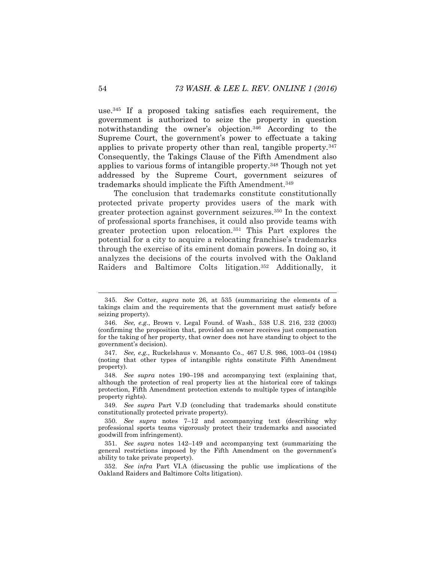use.<sup>345</sup> If a proposed taking satisfies each requirement, the government is authorized to seize the property in question notwithstanding the owner's objection.<sup>346</sup> According to the Supreme Court, the government's power to effectuate a taking applies to private property other than real, tangible property.<sup>347</sup> Consequently, the Takings Clause of the Fifth Amendment also applies to various forms of intangible property.<sup>348</sup> Though not yet addressed by the Supreme Court, government seizures of trademarks should implicate the Fifth Amendment.<sup>349</sup>

The conclusion that trademarks constitute constitutionally protected private property provides users of the mark with greater protection against government seizures.<sup>350</sup> In the context of professional sports franchises, it could also provide teams with greater protection upon relocation.<sup>351</sup> This Part explores the potential for a city to acquire a relocating franchise's trademarks through the exercise of its eminent domain powers. In doing so, it analyzes the decisions of the courts involved with the Oakland Raiders and Baltimore Colts litigation.<sup>352</sup> Additionally, it

<sup>345.</sup> *See* Cotter, *supra* note [26,](#page-7-1) at 535 (summarizing the elements of a takings claim and the requirements that the government must satisfy before seizing property).

<sup>346.</sup> *See, e.g.*, Brown v. Legal Found. of Wash., 538 U.S. 216, 232 (2003) (confirming the proposition that, provided an owner receives just compensation for the taking of her property, that owner does not have standing to object to the government's decision).

<sup>347.</sup> *See, e.g.*, Ruckelshaus v. Monsanto Co., 467 U.S. 986, 1003–04 (1984) (noting that other types of intangible rights constitute Fifth Amendment property).

<sup>348.</sup> *See supra* notes [190](#page-31-0)–[198](#page-32-0) and accompanying text (explaining that, although the protection of real property lies at the historical core of takings protection, Fifth Amendment protection extends to multiple types of intangible property rights).

<sup>349.</sup> *See supra* Part V.D (concluding that trademarks should constitute constitutionally protected private property).

<sup>350.</sup> *See supra* notes [7](#page-4-3)–[12](#page-5-1) and accompanying text (describing why professional sports teams vigorously protect their trademarks and associated goodwill from infringement).

<sup>351.</sup> *See supra* notes [142](#page-25-1)–[149](#page-26-2) and accompanying text (summarizing the general restrictions imposed by the Fifth Amendment on the government's ability to take private property).

<sup>352.</sup> *See infra* Part VI.A (discussing the public use implications of the Oakland Raiders and Baltimore Colts litigation).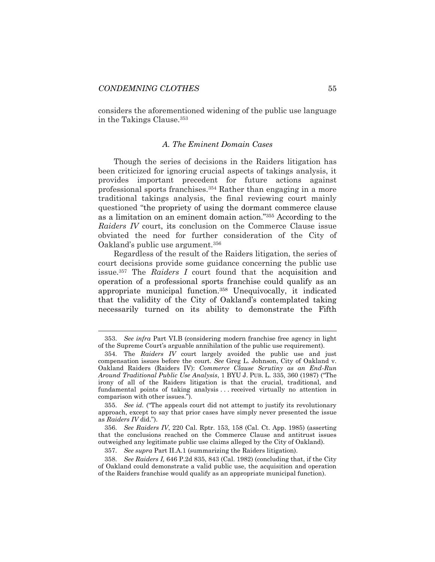considers the aforementioned widening of the public use language in the Takings Clause.<sup>353</sup>

# *A. The Eminent Domain Cases*

Though the series of decisions in the Raiders litigation has been criticized for ignoring crucial aspects of takings analysis, it provides important precedent for future actions against professional sports franchises.<sup>354</sup> Rather than engaging in a more traditional takings analysis, the final reviewing court mainly questioned "the propriety of using the dormant commerce clause as a limitation on an eminent domain action."<sup>355</sup> According to the *Raiders IV* court, its conclusion on the Commerce Clause issue obviated the need for further consideration of the City of Oakland's public use argument.<sup>356</sup>

Regardless of the result of the Raiders litigation, the series of court decisions provide some guidance concerning the public use issue.<sup>357</sup> The *Raiders I* court found that the acquisition and operation of a professional sports franchise could qualify as an appropriate municipal function.<sup>358</sup> Unequivocally, it indicated that the validity of the City of Oakland's contemplated taking necessarily turned on its ability to demonstrate the Fifth

<sup>353.</sup> *See infra* Part VI.B (considering modern franchise free agency in light of the Supreme Court's arguable annihilation of the public use requirement).

<sup>354.</sup> The *Raiders IV* court largely avoided the public use and just compensation issues before the court. *See* Greg L. Johnson, City of Oakland v. Oakland Raiders (Raiders IV): *Commerce Clause Scrutiny as an End-Run Around Traditional Public Use Analysis*, 1 BYU J. PUB. L. 335, 360 (1987) ("The irony of all of the Raiders litigation is that the crucial, traditional, and fundamental points of taking analysis . . . received virtually no attention in comparison with other issues.").

<sup>355.</sup> *See id.* ("The appeals court did not attempt to justify its revolutionary approach, except to say that prior cases have simply never presented the issue as *Raiders IV* did.").

<sup>356.</sup> *See Raiders IV*, 220 Cal. Rptr. 153, 158 (Cal. Ct. App. 1985) (asserting that the conclusions reached on the Commerce Clause and antitrust issues outweighed any legitimate public use claims alleged by the City of Oakland).

<sup>357.</sup> *See supra* Part II.A.1 (summarizing the Raiders litigation).

<sup>358.</sup> *See Raiders I,* 646 P.2d 835, 843 (Cal. 1982) (concluding that, if the City of Oakland could demonstrate a valid public use, the acquisition and operation of the Raiders franchise would qualify as an appropriate municipal function).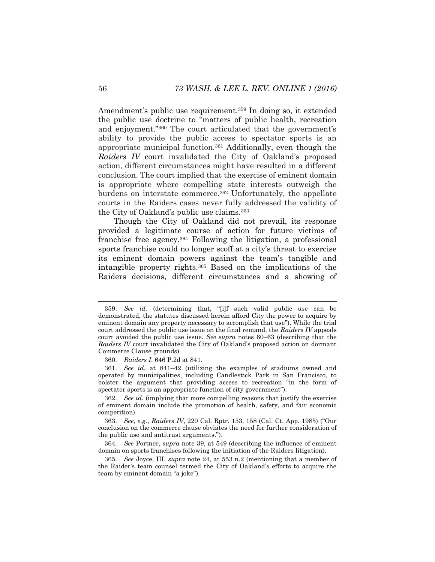Amendment's public use requirement.<sup>359</sup> In doing so, it extended the public use doctrine to "matters of public health, recreation and enjoyment."<sup>360</sup> The court articulated that the government's ability to provide the public access to spectator sports is an appropriate municipal function.<sup>361</sup> Additionally, even though the *Raiders IV* court invalidated the City of Oakland's proposed action, different circumstances might have resulted in a different conclusion. The court implied that the exercise of eminent domain is appropriate where compelling state interests outweigh the burdens on interstate commerce.<sup>362</sup> Unfortunately, the appellate courts in the Raiders cases never fully addressed the validity of the City of Oakland's public use claims.<sup>363</sup>

Though the City of Oakland did not prevail, its response provided a legitimate course of action for future victims of franchise free agency.<sup>364</sup> Following the litigation, a professional sports franchise could no longer scoff at a city's threat to exercise its eminent domain powers against the team's tangible and intangible property rights.<sup>365</sup> Based on the implications of the Raiders decisions, different circumstances and a showing of

360. *Raiders I*, 646 P.2d at 841.

361. *See id.* at 841–42 (utilizing the examples of stadiums owned and operated by municipalities, including Candlestick Park in San Francisco, to bolster the argument that providing access to recreation "in the form of spectator sports is an appropriate function of city government").

<sup>359.</sup> *See id.* (determining that, "[i]f such valid public use can be demonstrated, the statutes discussed herein afford City the power to acquire by eminent domain any property necessary to accomplish that use"). While the trial court addressed the public use issue on the final remand, the *Raiders IV* appeals court avoided the public use issue. *See supra* notes [60](#page-12-0)–[63](#page-13-0) (describing that the *Raiders IV* court invalidated the City of Oakland's proposed action on dormant Commerce Clause grounds).

<sup>362.</sup> *See id.* (implying that more compelling reasons that justify the exercise of eminent domain include the promotion of health, safety, and fair economic competition).

<sup>363.</sup> *See, e.g.*, *Raiders IV*, 220 Cal. Rptr. 153, 158 (Cal. Ct. App. 1985) ("Our conclusion on the commerce clause obviates the need for further consideration of the public use and antitrust arguments.").

<sup>364.</sup> *See* Portner, *supra* note [39,](#page-9-0) at 549 (describing the influence of eminent domain on sports franchises following the initiation of the Raiders litigation).

<sup>365.</sup> *See* Joyce, III, *supra* note [24,](#page-7-0) at 553 n.2 (mentioning that a member of the Raider's team counsel termed the City of Oakland's efforts to acquire the team by eminent domain "a joke").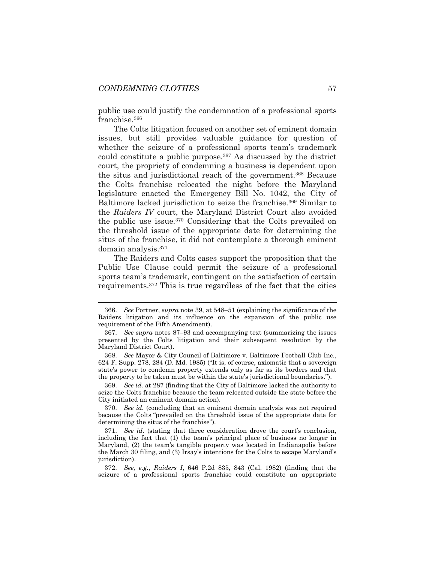public use could justify the condemnation of a professional sports franchise.<sup>366</sup>

The Colts litigation focused on another set of eminent domain issues, but still provides valuable guidance for question of whether the seizure of a professional sports team's trademark could constitute a public purpose.<sup>367</sup> As discussed by the district court, the propriety of condemning a business is dependent upon the situs and jurisdictional reach of the government.<sup>368</sup> Because the Colts franchise relocated the night before the Maryland legislature enacted the Emergency Bill No. 1042, the City of Baltimore lacked jurisdiction to seize the franchise.<sup>369</sup> Similar to the *Raiders IV* court, the Maryland District Court also avoided the public use issue.<sup>370</sup> Considering that the Colts prevailed on the threshold issue of the appropriate date for determining the situs of the franchise, it did not contemplate a thorough eminent domain analysis.<sup>371</sup>

The Raiders and Colts cases support the proposition that the Public Use Clause could permit the seizure of a professional sports team's trademark, contingent on the satisfaction of certain requirements.<sup>372</sup> This is true regardless of the fact that the cities

369. *See id.* at 287 (finding that the City of Baltimore lacked the authority to seize the Colts franchise because the team relocated outside the state before the City initiated an eminent domain action).

370. *See id.* (concluding that an eminent domain analysis was not required because the Colts "prevailed on the threshold issue of the appropriate date for determining the situs of the franchise").

371. *See id.* (stating that three consideration drove the court's conclusion, including the fact that (1) the team's principal place of business no longer in Maryland, (2) the team's tangible property was located in Indianapolis before the March 30 filing, and (3) Irsay's intentions for the Colts to escape Maryland's jurisdiction).

372. *See, e.g.*, *Raiders I*, 646 P.2d 835, 843 (Cal. 1982) (finding that the seizure of a professional sports franchise could constitute an appropriate

<sup>366.</sup> *See* Portner, *supra* not[e 39,](#page-9-0) at 548–51 (explaining the significance of the Raiders litigation and its influence on the expansion of the public use requirement of the Fifth Amendment).

<sup>367.</sup> *See supra* notes [87](#page-16-2)–[93](#page-16-1) and accompanying text (summarizing the issues presented by the Colts litigation and their subsequent resolution by the Maryland District Court).

<sup>368.</sup> *See* Mayor & City Council of Baltimore v. Baltimore Football Club Inc., 624 F. Supp. 278, 284 (D. Md. 1985) ("It is, of course, axiomatic that a sovereign state's power to condemn property extends only as far as its borders and that the property to be taken must be within the state's jurisdictional boundaries.").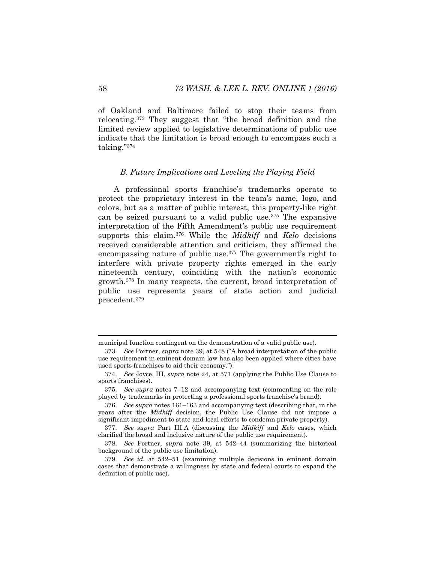of Oakland and Baltimore failed to stop their teams from relocating.<sup>373</sup> They suggest that "the broad definition and the limited review applied to legislative determinations of public use indicate that the limitation is broad enough to encompass such a taking."<sup>374</sup>

#### *B. Future Implications and Leveling the Playing Field*

A professional sports franchise's trademarks operate to protect the proprietary interest in the team's name, logo, and colors, but as a matter of public interest, this property-like right can be seized pursuant to a valid public use.<sup>375</sup> The expansive interpretation of the Fifth Amendment's public use requirement supports this claim.<sup>376</sup> While the *Midkiff* and *Kelo* decisions received considerable attention and criticism, they affirmed the encompassing nature of public use.<sup>377</sup> The government's right to interfere with private property rights emerged in the early nineteenth century, coinciding with the nation's economic growth.<sup>378</sup> In many respects, the current, broad interpretation of public use represents years of state action and judicial precedent.<sup>379</sup>

municipal function contingent on the demonstration of a valid public use).

<sup>373.</sup> *See* Portner, *supra* note [39](#page-9-0), at 548 ("A broad interpretation of the public use requirement in eminent domain law has also been applied where cities have used sports franchises to aid their economy.").

<sup>374.</sup> *See* Joyce, III, *supra* note [24,](#page-7-0) at 571 (applying the Public Use Clause to sports franchises).

<sup>375.</sup> *See supra* notes [7](#page-4-3)–[12](#page-5-1) and accompanying text (commenting on the role played by trademarks in protecting a professional sports franchise's brand).

<sup>376.</sup> *See supra* notes [161](#page-27-0)–[163](#page-27-1) and accompanying text (describing that, in the years after the *Midkiff* decision, the Public Use Clause did not impose a significant impediment to state and local efforts to condemn private property).

<sup>377.</sup> *See supra* Part III.A (discussing the *Midkiff* and *Kelo* cases, which clarified the broad and inclusive nature of the public use requirement).

<sup>378.</sup> *See* Portner, *supra* note [39,](#page-9-0) at 542–44 (summarizing the historical background of the public use limitation).

<sup>379.</sup> *See id.* at 542–51 (examining multiple decisions in eminent domain cases that demonstrate a willingness by state and federal courts to expand the definition of public use).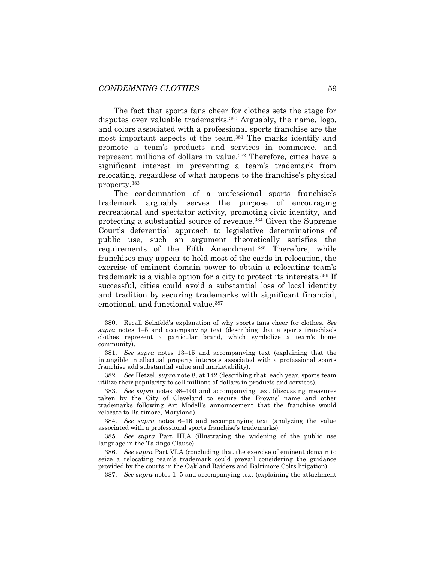The fact that sports fans cheer for clothes sets the stage for disputes over valuable trademarks.<sup>380</sup> Arguably, the name, logo, and colors associated with a professional sports franchise are the most important aspects of the team.<sup>381</sup> The marks identify and promote a team's products and services in commerce, and represent millions of dollars in value.<sup>382</sup> Therefore, cities have a significant interest in preventing a team's trademark from relocating, regardless of what happens to the franchise's physical property.<sup>383</sup>

The condemnation of a professional sports franchise's trademark arguably serves the purpose of encouraging recreational and spectator activity, promoting civic identity, and protecting a substantial source of revenue.<sup>384</sup> Given the Supreme Court's deferential approach to legislative determinations of public use, such an argument theoretically satisfies the requirements of the Fifth Amendment.<sup>385</sup> Therefore, while franchises may appear to hold most of the cards in relocation, the exercise of eminent domain power to obtain a relocating team's trademark is a viable option for a city to protect its interests.<sup>386</sup> If successful, cities could avoid a substantial loss of local identity and tradition by securing trademarks with significant financial, emotional, and functional value.<sup>387</sup>

382. *See* Hetzel, *supra* note [8,](#page-4-0) at 142 (describing that, each year, sports team utilize their popularity to sell millions of dollars in products and services).

383. *See supra* notes [98](#page-17-2)–[100](#page-18-2) and accompanying text (discussing measures taken by the City of Cleveland to secure the Browns' name and other trademarks following Art Modell's announcement that the franchise would relocate to Baltimore, Maryland).

384. *See supra* notes [6](#page-4-4)–[16](#page-5-4) and accompanying text (analyzing the value associated with a professional sports franchise's trademarks).

385. *See supra* Part III.A (illustrating the widening of the public use language in the Takings Clause).

386. *See supra* Part VI.A (concluding that the exercise of eminent domain to seize a relocating team's trademark could prevail considering the guidance provided by the courts in the Oakland Raiders and Baltimore Colts litigation).

387. *See supra* notes [1](#page-3-1)–[5](#page-4-1) and accompanying text (explaining the attachment

<sup>380.</sup> Recall Seinfeld's explanation of why sports fans cheer for clothes. *See supra* notes [1](#page-3-1)–[5](#page-4-1) and accompanying text (describing that a sports franchise's clothes represent a particular brand, which symbolize a team's home community).

<sup>381.</sup> *See supra* notes [13](#page-5-2)–[15](#page-5-3) and accompanying text (explaining that the intangible intellectual property interests associated with a professional sports franchise add substantial value and marketability).